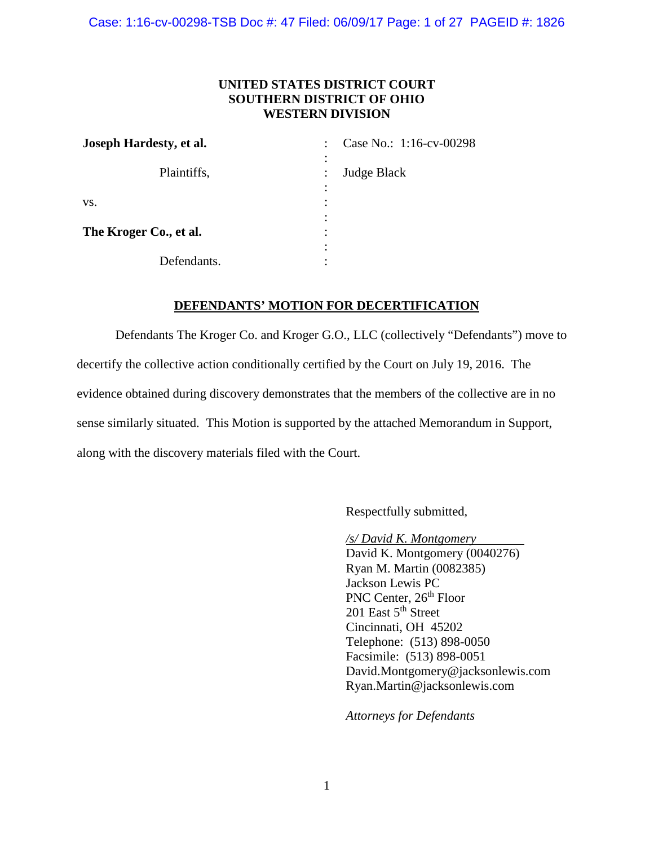Case: 1:16-cv-00298-TSB Doc #: 47 Filed: 06/09/17 Page: 1 of 27 PAGEID #: 1826

# **UNITED STATES DISTRICT COURT SOUTHERN DISTRICT OF OHIO WESTERN DIVISION**

| Joseph Hardesty, et al. | Case No.: 1:16-cv-00298       |  |
|-------------------------|-------------------------------|--|
| Plaintiffs,             | $\bullet$<br>Judge Black<br>٠ |  |
| VS.                     | $\bullet$                     |  |
| The Kroger Co., et al.  | ٠                             |  |
| Defendants.             |                               |  |

### **DEFENDANTS' MOTION FOR DECERTIFICATION**

Defendants The Kroger Co. and Kroger G.O., LLC (collectively "Defendants") move to decertify the collective action conditionally certified by the Court on July 19, 2016. The evidence obtained during discovery demonstrates that the members of the collective are in no sense similarly situated. This Motion is supported by the attached Memorandum in Support, along with the discovery materials filed with the Court.

Respectfully submitted,

*/s/ David K. Montgomery* 

David K. Montgomery (0040276) Ryan M. Martin (0082385) Jackson Lewis PC PNC Center, 26<sup>th</sup> Floor 201 East 5<sup>th</sup> Street Cincinnati, OH 45202 Telephone: (513) 898-0050 Facsimile: (513) 898-0051 David.Montgomery@jacksonlewis.com Ryan.Martin@jacksonlewis.com

*Attorneys for Defendants*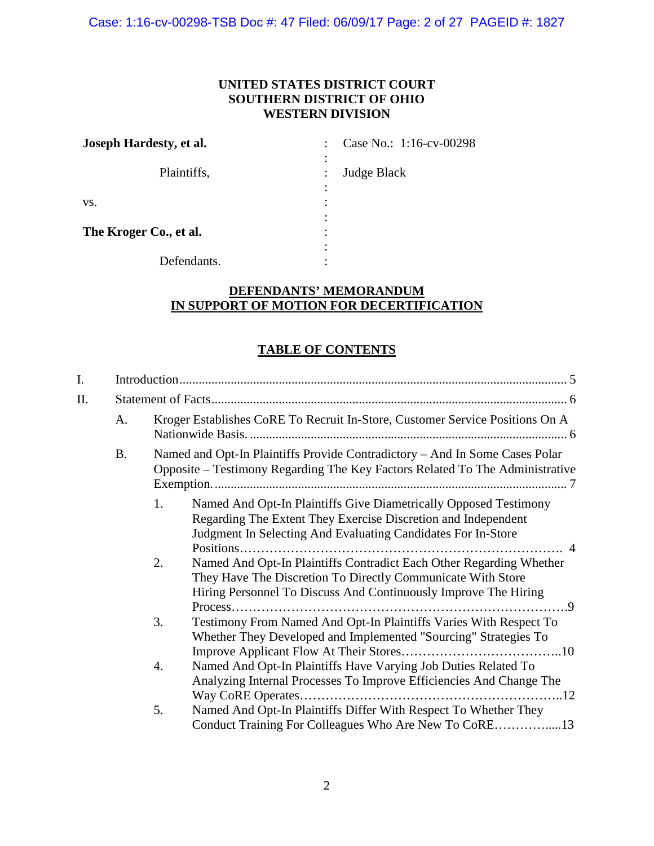Case: 1:16-cv-00298-TSB Doc #: 47 Filed: 06/09/17 Page: 2 of 27 PAGEID #: 1827

# **UNITED STATES DISTRICT COURT SOUTHERN DISTRICT OF OHIO WESTERN DIVISION**

| Joseph Hardesty, et al. | Case No.: 1:16-cv-00298 |  |
|-------------------------|-------------------------|--|
| Plaintiffs,             | <b>Judge Black</b>      |  |
| VS.                     |                         |  |
| The Kroger Co., et al.  | ٠                       |  |
| Defendants.             |                         |  |

# **DEFENDANTS' MEMORANDUM IN SUPPORT OF MOTION FOR DECERTIFICATION**

# **TABLE OF CONTENTS**

| I.  |           |                                                                                                                                                                                                             |  |  |
|-----|-----------|-------------------------------------------------------------------------------------------------------------------------------------------------------------------------------------------------------------|--|--|
| II. |           |                                                                                                                                                                                                             |  |  |
|     | A.        | Kroger Establishes CoRE To Recruit In-Store, Customer Service Positions On A                                                                                                                                |  |  |
|     | <b>B.</b> | Named and Opt-In Plaintiffs Provide Contradictory - And In Some Cases Polar<br>Opposite - Testimony Regarding The Key Factors Related To The Administrative                                                 |  |  |
|     |           | 1.<br>Named And Opt-In Plaintiffs Give Diametrically Opposed Testimony<br>Regarding The Extent They Exercise Discretion and Independent<br>Judgment In Selecting And Evaluating Candidates For In-Store     |  |  |
|     |           | Named And Opt-In Plaintiffs Contradict Each Other Regarding Whether<br>2.<br>They Have The Discretion To Directly Communicate With Store<br>Hiring Personnel To Discuss And Continuously Improve The Hiring |  |  |
|     |           | Testimony From Named And Opt-In Plaintiffs Varies With Respect To<br>3.<br>Whether They Developed and Implemented "Sourcing" Strategies To                                                                  |  |  |
|     |           | Named And Opt-In Plaintiffs Have Varying Job Duties Related To<br>4.<br>Analyzing Internal Processes To Improve Efficiencies And Change The                                                                 |  |  |
|     |           | Named And Opt-In Plaintiffs Differ With Respect To Whether They<br>5.                                                                                                                                       |  |  |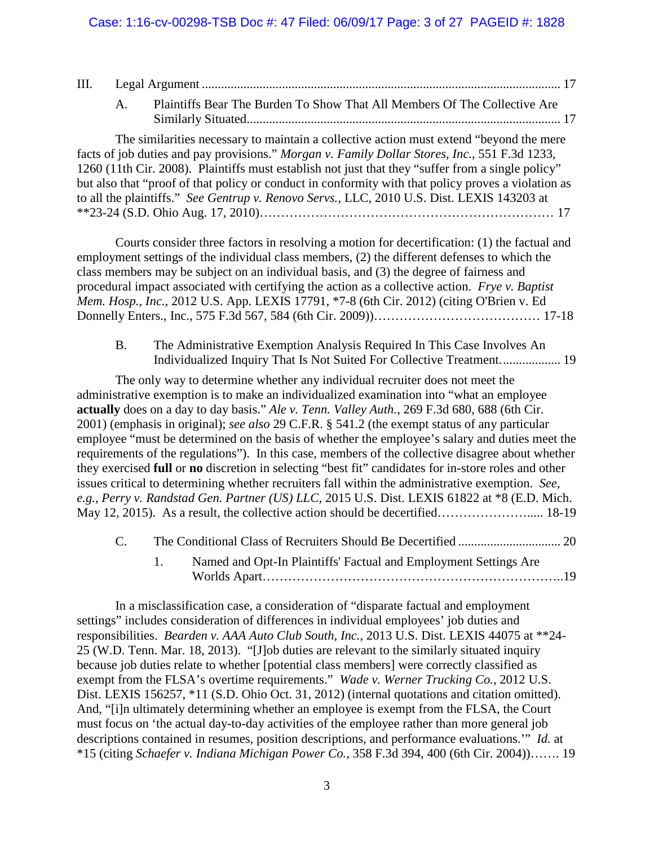| III. |                 |                                                                                                                                                                                                                                                                                                                                                                                                                                                                                                                                                                                                                                                                                                                                                                                                                                                                                                                                                                               |
|------|-----------------|-------------------------------------------------------------------------------------------------------------------------------------------------------------------------------------------------------------------------------------------------------------------------------------------------------------------------------------------------------------------------------------------------------------------------------------------------------------------------------------------------------------------------------------------------------------------------------------------------------------------------------------------------------------------------------------------------------------------------------------------------------------------------------------------------------------------------------------------------------------------------------------------------------------------------------------------------------------------------------|
|      | A.              | Plaintiffs Bear The Burden To Show That All Members Of The Collective Are                                                                                                                                                                                                                                                                                                                                                                                                                                                                                                                                                                                                                                                                                                                                                                                                                                                                                                     |
|      |                 | The similarities necessary to maintain a collective action must extend "beyond the mere<br>facts of job duties and pay provisions." Morgan v. Family Dollar Stores, Inc., 551 F.3d 1233,<br>1260 (11th Cir. 2008). Plaintiffs must establish not just that they "suffer from a single policy"<br>but also that "proof of that policy or conduct in conformity with that policy proves a violation as<br>to all the plaintiffs." See Gentrup v. Renovo Servs., LLC, 2010 U.S. Dist. LEXIS 143203 at                                                                                                                                                                                                                                                                                                                                                                                                                                                                            |
|      |                 | Courts consider three factors in resolving a motion for decertification: (1) the factual and<br>employment settings of the individual class members, (2) the different defenses to which the<br>class members may be subject on an individual basis, and (3) the degree of fairness and<br>procedural impact associated with certifying the action as a collective action. Frye v. Baptist<br>Mem. Hosp., Inc., 2012 U.S. App. LEXIS 17791, *7-8 (6th Cir. 2012) (citing O'Brien v. Ed                                                                                                                                                                                                                                                                                                                                                                                                                                                                                        |
|      | <b>B.</b>       | The Administrative Exemption Analysis Required In This Case Involves An<br>Individualized Inquiry That Is Not Suited For Collective Treatment 19                                                                                                                                                                                                                                                                                                                                                                                                                                                                                                                                                                                                                                                                                                                                                                                                                              |
|      |                 | The only way to determine whether any individual recruiter does not meet the<br>administrative exemption is to make an individualized examination into "what an employee<br>actually does on a day to day basis." Ale v. Tenn. Valley Auth., 269 F.3d 680, 688 (6th Cir.<br>2001) (emphasis in original); see also 29 C.F.R. § 541.2 (the exempt status of any particular<br>employee "must be determined on the basis of whether the employee's salary and duties meet the<br>requirements of the regulations"). In this case, members of the collective disagree about whether<br>they exercised full or no discretion in selecting "best fit" candidates for in-store roles and other<br>issues critical to determining whether recruiters fall within the administrative exemption. See,<br>e.g., Perry v. Randstad Gen. Partner (US) LLC, 2015 U.S. Dist. LEXIS 61822 at *8 (E.D. Mich.<br>May 12, 2015). As a result, the collective action should be decertified 18-19 |
|      | $\mathcal{C}$ . |                                                                                                                                                                                                                                                                                                                                                                                                                                                                                                                                                                                                                                                                                                                                                                                                                                                                                                                                                                               |
|      |                 | Named and Opt-In Plaintiffs' Factual and Employment Settings Are<br>1.                                                                                                                                                                                                                                                                                                                                                                                                                                                                                                                                                                                                                                                                                                                                                                                                                                                                                                        |
|      |                 | In a misclassification case, a consideration of "disparate factual and employment"<br>settings" includes consideration of differences in individual employees' job duties and<br>responsibilities. Bearden v. AAA Auto Club South, Inc., 2013 U.S. Dist. LEXIS 44075 at **24-<br>25 (W.D. Tenn. Mar. 18, 2013). "[J]ob duties are relevant to the similarly situated inquiry<br>because job duties relate to whether [potential class members] were correctly classified as<br>exempt from the FLSA's overtime requirements." Wade v. Werner Trucking Co., 2012 U.S.                                                                                                                                                                                                                                                                                                                                                                                                          |

Dist. LEXIS 156257, \*11 (S.D. Ohio Oct. 31, 2012) (internal quotations and citation omitted). And, "[i]n ultimately determining whether an employee is exempt from the FLSA, the Court must focus on 'the actual day-to-day activities of the employee rather than more general job descriptions contained in resumes, position descriptions, and performance evaluations.'" *Id.* at \*15 (citing *Schaefer v. Indiana Michigan Power Co.*, 358 F.3d 394, 400 (6th Cir. 2004))……. 19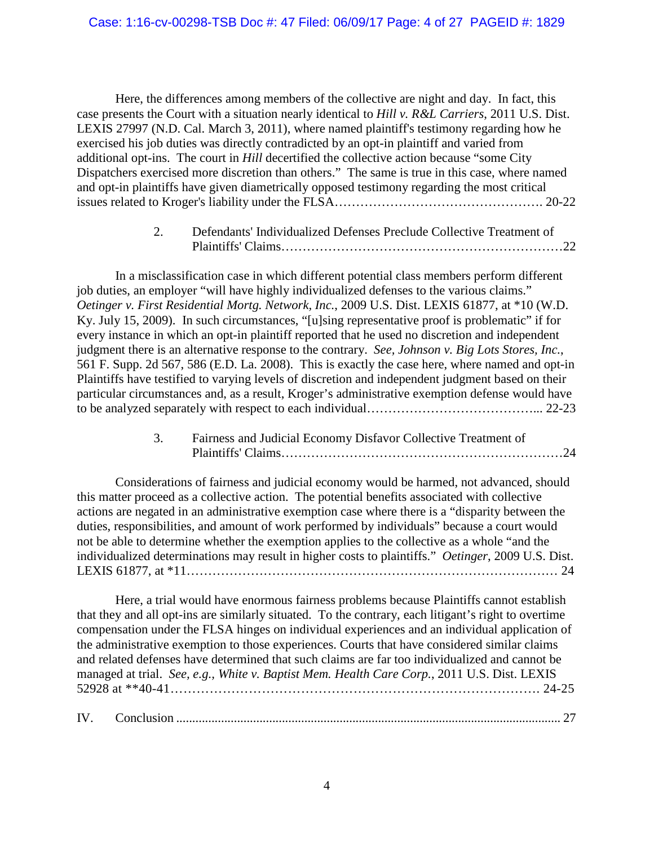Here, the differences among members of the collective are night and day. In fact, this case presents the Court with a situation nearly identical to *Hill v. R&L Carriers*, 2011 U.S. Dist. LEXIS 27997 (N.D. Cal. March 3, 2011), where named plaintiff's testimony regarding how he exercised his job duties was directly contradicted by an opt-in plaintiff and varied from additional opt-ins. The court in *Hill* decertified the collective action because "some City Dispatchers exercised more discretion than others." The same is true in this case, where named and opt-in plaintiffs have given diametrically opposed testimony regarding the most critical issues related to Kroger's liability under the FLSA…………………………………………. 20-22

> 2. Defendants' Individualized Defenses Preclude Collective Treatment of Plaintiffs' Claims…………………………………………………………22

In a misclassification case in which different potential class members perform different job duties, an employer "will have highly individualized defenses to the various claims." *Oetinger v. First Residential Mortg. Network, Inc.*, 2009 U.S. Dist. LEXIS 61877, at \*10 (W.D. Ky. July 15, 2009). In such circumstances, "[u]sing representative proof is problematic" if for every instance in which an opt-in plaintiff reported that he used no discretion and independent judgment there is an alternative response to the contrary. *See, Johnson v. Big Lots Stores, Inc.*, 561 F. Supp. 2d 567, 586 (E.D. La. 2008). This is exactly the case here, where named and opt-in Plaintiffs have testified to varying levels of discretion and independent judgment based on their particular circumstances and, as a result, Kroger's administrative exemption defense would have to be analyzed separately with respect to each individual…………………………………... 22-23

> 3. Fairness and Judicial Economy Disfavor Collective Treatment of Plaintiffs' Claims…………………………………………………………24

Considerations of fairness and judicial economy would be harmed, not advanced, should this matter proceed as a collective action. The potential benefits associated with collective actions are negated in an administrative exemption case where there is a "disparity between the duties, responsibilities, and amount of work performed by individuals" because a court would not be able to determine whether the exemption applies to the collective as a whole "and the individualized determinations may result in higher costs to plaintiffs." *Oetinger*, 2009 U.S. Dist. LEXIS 61877, at \*11…………………………………………………………………………… 24

Here, a trial would have enormous fairness problems because Plaintiffs cannot establish that they and all opt-ins are similarly situated. To the contrary, each litigant's right to overtime compensation under the FLSA hinges on individual experiences and an individual application of the administrative exemption to those experiences. Courts that have considered similar claims and related defenses have determined that such claims are far too individualized and cannot be managed at trial. *See, e.g., White v. Baptist Mem. Health Care Corp.*, 2011 U.S. Dist. LEXIS 52928 at \*\*40-41…………………………………………………………………………. 24-25

IV. Conclusion ........................................................................................................................ 27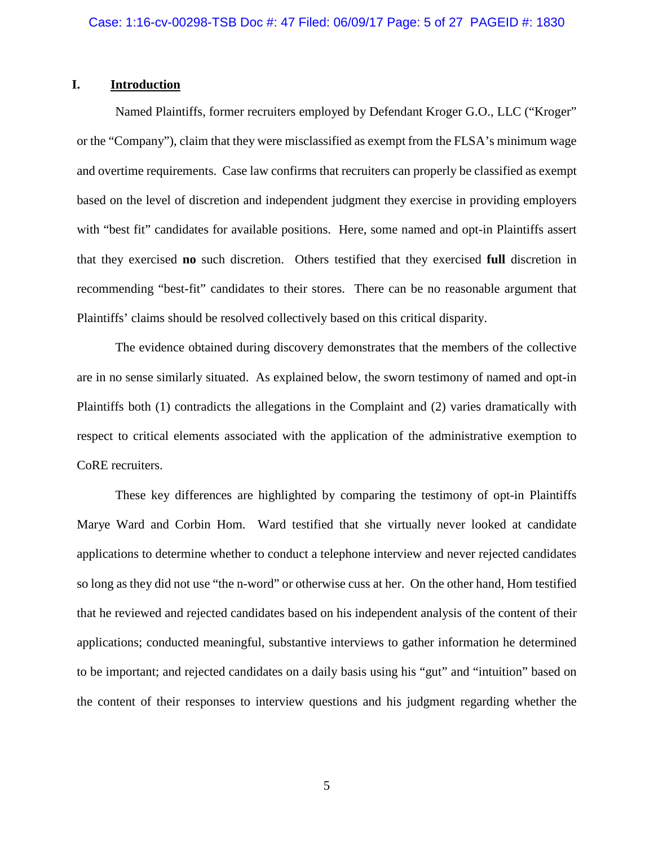## **I. Introduction**

Named Plaintiffs, former recruiters employed by Defendant Kroger G.O., LLC ("Kroger" or the "Company"), claim that they were misclassified as exempt from the FLSA's minimum wage and overtime requirements. Case law confirms that recruiters can properly be classified as exempt based on the level of discretion and independent judgment they exercise in providing employers with "best fit" candidates for available positions. Here, some named and opt-in Plaintiffs assert that they exercised **no** such discretion. Others testified that they exercised **full** discretion in recommending "best-fit" candidates to their stores. There can be no reasonable argument that Plaintiffs' claims should be resolved collectively based on this critical disparity.

The evidence obtained during discovery demonstrates that the members of the collective are in no sense similarly situated. As explained below, the sworn testimony of named and opt-in Plaintiffs both (1) contradicts the allegations in the Complaint and (2) varies dramatically with respect to critical elements associated with the application of the administrative exemption to CoRE recruiters.

These key differences are highlighted by comparing the testimony of opt-in Plaintiffs Marye Ward and Corbin Hom. Ward testified that she virtually never looked at candidate applications to determine whether to conduct a telephone interview and never rejected candidates so long as they did not use "the n-word" or otherwise cuss at her. On the other hand, Hom testified that he reviewed and rejected candidates based on his independent analysis of the content of their applications; conducted meaningful, substantive interviews to gather information he determined to be important; and rejected candidates on a daily basis using his "gut" and "intuition" based on the content of their responses to interview questions and his judgment regarding whether the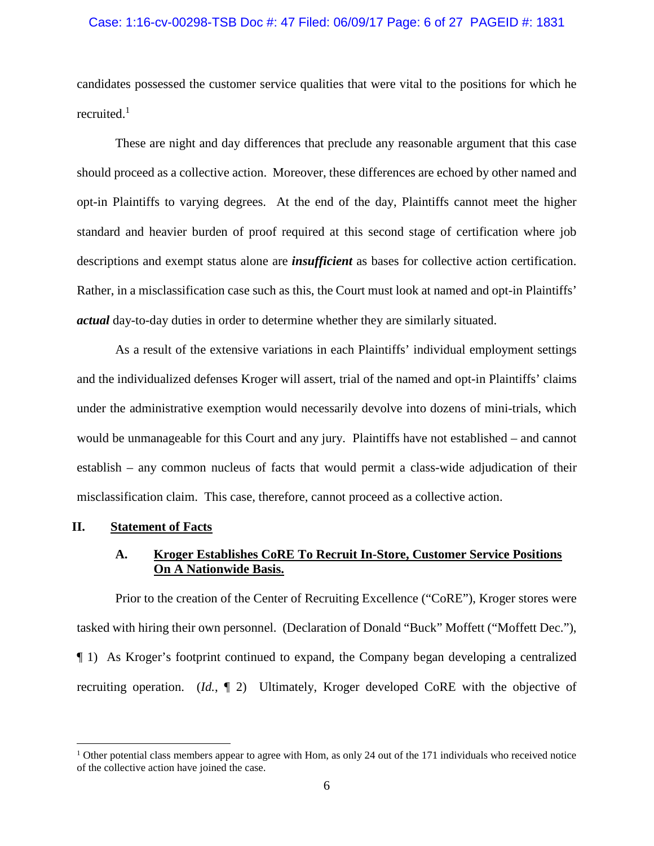### Case: 1:16-cv-00298-TSB Doc #: 47 Filed: 06/09/17 Page: 6 of 27 PAGEID #: 1831

candidates possessed the customer service qualities that were vital to the positions for which he recruited.<sup>1</sup>

These are night and day differences that preclude any reasonable argument that this case should proceed as a collective action. Moreover, these differences are echoed by other named and opt-in Plaintiffs to varying degrees. At the end of the day, Plaintiffs cannot meet the higher standard and heavier burden of proof required at this second stage of certification where job descriptions and exempt status alone are *insufficient* as bases for collective action certification. Rather, in a misclassification case such as this, the Court must look at named and opt-in Plaintiffs' *actual* day-to-day duties in order to determine whether they are similarly situated.

As a result of the extensive variations in each Plaintiffs' individual employment settings and the individualized defenses Kroger will assert, trial of the named and opt-in Plaintiffs' claims under the administrative exemption would necessarily devolve into dozens of mini-trials, which would be unmanageable for this Court and any jury. Plaintiffs have not established – and cannot establish – any common nucleus of facts that would permit a class-wide adjudication of their misclassification claim. This case, therefore, cannot proceed as a collective action.

### **II. Statement of Facts**

# **A. Kroger Establishes CoRE To Recruit In-Store, Customer Service Positions On A Nationwide Basis.**

Prior to the creation of the Center of Recruiting Excellence ("CoRE"), Kroger stores were tasked with hiring their own personnel. (Declaration of Donald "Buck" Moffett ("Moffett Dec."), ¶ 1) As Kroger's footprint continued to expand, the Company began developing a centralized recruiting operation. (*Id.*, ¶ 2) Ultimately, Kroger developed CoRE with the objective of

<sup>&</sup>lt;sup>1</sup> Other potential class members appear to agree with Hom, as only 24 out of the 171 individuals who received notice of the collective action have joined the case.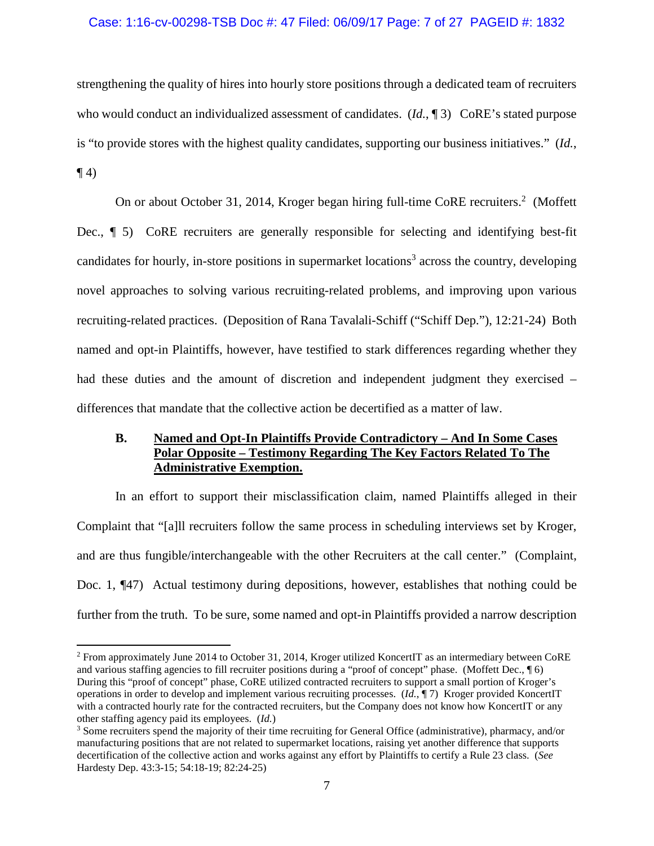### Case: 1:16-cv-00298-TSB Doc #: 47 Filed: 06/09/17 Page: 7 of 27 PAGEID #: 1832

strengthening the quality of hires into hourly store positions through a dedicated team of recruiters who would conduct an individualized assessment of candidates. (*Id.*, ¶ 3) CoRE's stated purpose is "to provide stores with the highest quality candidates, supporting our business initiatives." (*Id.*,  $\P(4)$ 

On or about October 31, 2014, Kroger began hiring full-time CoRE recruiters.<sup>2</sup> (Moffett Dec., ¶ 5) CoRE recruiters are generally responsible for selecting and identifying best-fit candidates for hourly, in-store positions in supermarket locations<sup>3</sup> across the country, developing novel approaches to solving various recruiting-related problems, and improving upon various recruiting-related practices. (Deposition of Rana Tavalali-Schiff ("Schiff Dep."), 12:21-24) Both named and opt-in Plaintiffs, however, have testified to stark differences regarding whether they had these duties and the amount of discretion and independent judgment they exercised – differences that mandate that the collective action be decertified as a matter of law.

## **B. Named and Opt-In Plaintiffs Provide Contradictory – And In Some Cases Polar Opposite – Testimony Regarding The Key Factors Related To The Administrative Exemption.**

In an effort to support their misclassification claim, named Plaintiffs alleged in their Complaint that "[a]ll recruiters follow the same process in scheduling interviews set by Kroger, and are thus fungible/interchangeable with the other Recruiters at the call center." (Complaint, Doc. 1, ¶47) Actual testimony during depositions, however, establishes that nothing could be further from the truth. To be sure, some named and opt-in Plaintiffs provided a narrow description

<sup>&</sup>lt;sup>2</sup> From approximately June 2014 to October 31, 2014, Kroger utilized KoncertIT as an intermediary between CoRE and various staffing agencies to fill recruiter positions during a "proof of concept" phase. (Moffett Dec., ¶ 6) During this "proof of concept" phase, CoRE utilized contracted recruiters to support a small portion of Kroger's operations in order to develop and implement various recruiting processes. (*Id.*, ¶ 7) Kroger provided KoncertIT with a contracted hourly rate for the contracted recruiters, but the Company does not know how KoncertIT or any other staffing agency paid its employees. (*Id.*)

<sup>3</sup> Some recruiters spend the majority of their time recruiting for General Office (administrative), pharmacy, and/or manufacturing positions that are not related to supermarket locations, raising yet another difference that supports decertification of the collective action and works against any effort by Plaintiffs to certify a Rule 23 class. (*See*  Hardesty Dep. 43:3-15; 54:18-19; 82:24-25)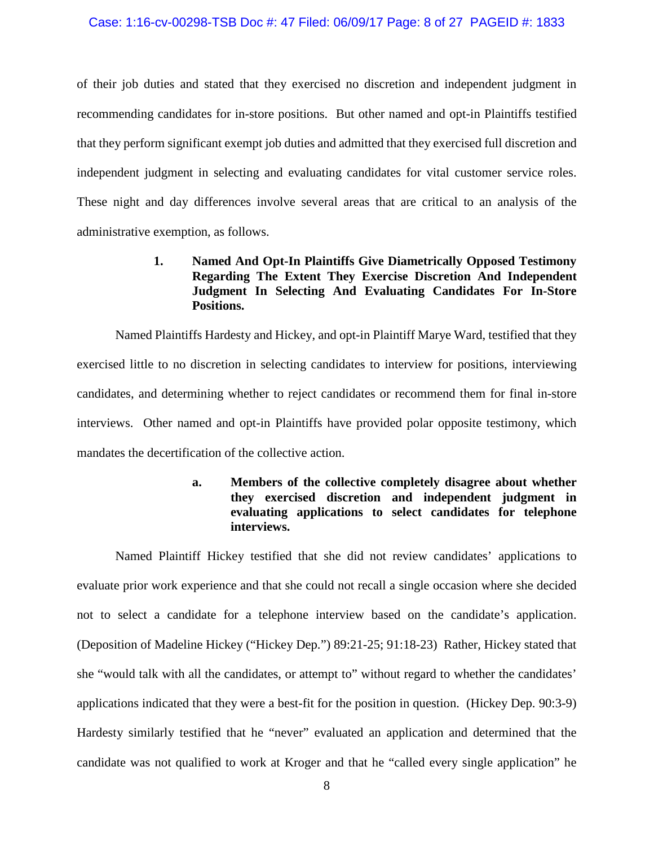### Case: 1:16-cv-00298-TSB Doc #: 47 Filed: 06/09/17 Page: 8 of 27 PAGEID #: 1833

of their job duties and stated that they exercised no discretion and independent judgment in recommending candidates for in-store positions. But other named and opt-in Plaintiffs testified that they perform significant exempt job duties and admitted that they exercised full discretion and independent judgment in selecting and evaluating candidates for vital customer service roles. These night and day differences involve several areas that are critical to an analysis of the administrative exemption, as follows.

# **1. Named And Opt-In Plaintiffs Give Diametrically Opposed Testimony Regarding The Extent They Exercise Discretion And Independent Judgment In Selecting And Evaluating Candidates For In-Store Positions.**

Named Plaintiffs Hardesty and Hickey, and opt-in Plaintiff Marye Ward, testified that they exercised little to no discretion in selecting candidates to interview for positions, interviewing candidates, and determining whether to reject candidates or recommend them for final in-store interviews. Other named and opt-in Plaintiffs have provided polar opposite testimony, which mandates the decertification of the collective action.

# **a. Members of the collective completely disagree about whether they exercised discretion and independent judgment in evaluating applications to select candidates for telephone interviews.**

Named Plaintiff Hickey testified that she did not review candidates' applications to evaluate prior work experience and that she could not recall a single occasion where she decided not to select a candidate for a telephone interview based on the candidate's application. (Deposition of Madeline Hickey ("Hickey Dep.") 89:21-25; 91:18-23) Rather, Hickey stated that she "would talk with all the candidates, or attempt to" without regard to whether the candidates' applications indicated that they were a best-fit for the position in question. (Hickey Dep. 90:3-9) Hardesty similarly testified that he "never" evaluated an application and determined that the candidate was not qualified to work at Kroger and that he "called every single application" he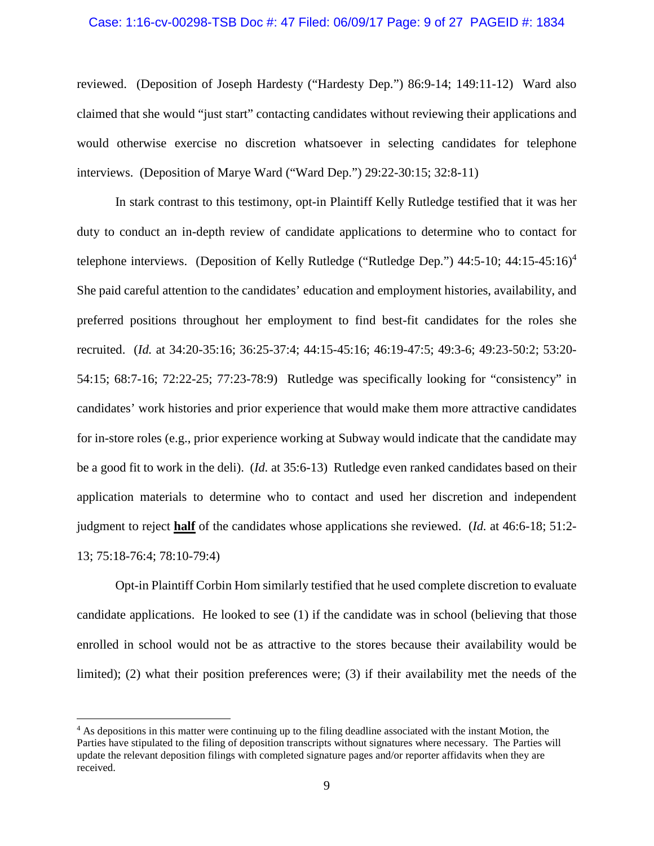#### Case: 1:16-cv-00298-TSB Doc #: 47 Filed: 06/09/17 Page: 9 of 27 PAGEID #: 1834

reviewed. (Deposition of Joseph Hardesty ("Hardesty Dep.") 86:9-14; 149:11-12) Ward also claimed that she would "just start" contacting candidates without reviewing their applications and would otherwise exercise no discretion whatsoever in selecting candidates for telephone interviews. (Deposition of Marye Ward ("Ward Dep.") 29:22-30:15; 32:8-11)

In stark contrast to this testimony, opt-in Plaintiff Kelly Rutledge testified that it was her duty to conduct an in-depth review of candidate applications to determine who to contact for telephone interviews. (Deposition of Kelly Rutledge ("Rutledge Dep.") 44:5-10; 44:15-45:16)<sup>4</sup> She paid careful attention to the candidates' education and employment histories, availability, and preferred positions throughout her employment to find best-fit candidates for the roles she recruited. (*Id.* at 34:20-35:16; 36:25-37:4; 44:15-45:16; 46:19-47:5; 49:3-6; 49:23-50:2; 53:20- 54:15; 68:7-16; 72:22-25; 77:23-78:9) Rutledge was specifically looking for "consistency" in candidates' work histories and prior experience that would make them more attractive candidates for in-store roles (e.g., prior experience working at Subway would indicate that the candidate may be a good fit to work in the deli). (*Id.* at 35:6-13) Rutledge even ranked candidates based on their application materials to determine who to contact and used her discretion and independent judgment to reject **half** of the candidates whose applications she reviewed. (*Id.* at 46:6-18; 51:2- 13; 75:18-76:4; 78:10-79:4)

Opt-in Plaintiff Corbin Hom similarly testified that he used complete discretion to evaluate candidate applications. He looked to see (1) if the candidate was in school (believing that those enrolled in school would not be as attractive to the stores because their availability would be limited); (2) what their position preferences were; (3) if their availability met the needs of the

<sup>&</sup>lt;sup>4</sup> As depositions in this matter were continuing up to the filing deadline associated with the instant Motion, the Parties have stipulated to the filing of deposition transcripts without signatures where necessary. The Parties will update the relevant deposition filings with completed signature pages and/or reporter affidavits when they are received.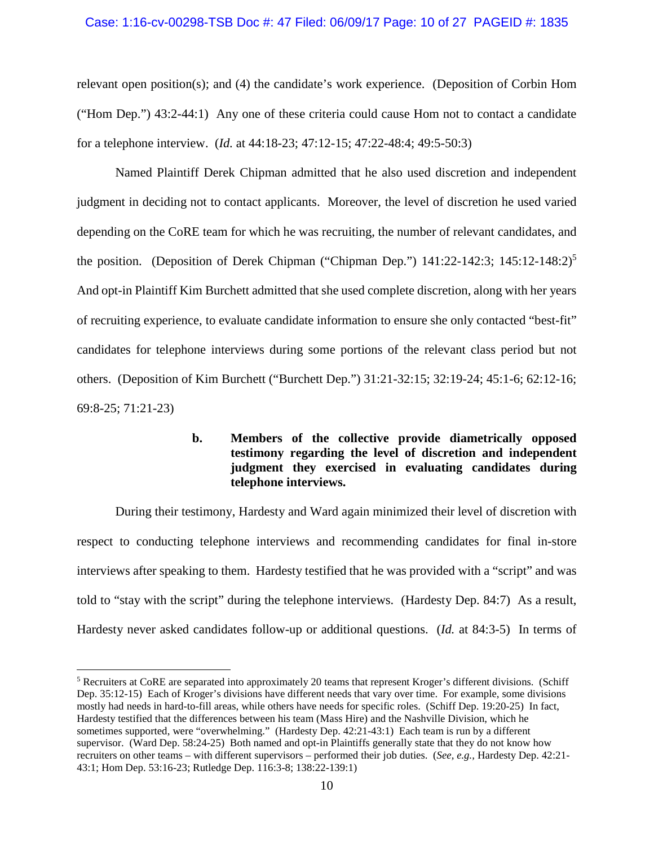### Case: 1:16-cv-00298-TSB Doc #: 47 Filed: 06/09/17 Page: 10 of 27 PAGEID #: 1835

relevant open position(s); and (4) the candidate's work experience. (Deposition of Corbin Hom ("Hom Dep.") 43:2-44:1) Any one of these criteria could cause Hom not to contact a candidate for a telephone interview. (*Id.* at 44:18-23; 47:12-15; 47:22-48:4; 49:5-50:3)

Named Plaintiff Derek Chipman admitted that he also used discretion and independent judgment in deciding not to contact applicants. Moreover, the level of discretion he used varied depending on the CoRE team for which he was recruiting, the number of relevant candidates, and the position. (Deposition of Derek Chipman ("Chipman Dep.")  $141:22-142:3$ ;  $145:12-148:2$ )<sup>5</sup> And opt-in Plaintiff Kim Burchett admitted that she used complete discretion, along with her years of recruiting experience, to evaluate candidate information to ensure she only contacted "best-fit" candidates for telephone interviews during some portions of the relevant class period but not others. (Deposition of Kim Burchett ("Burchett Dep.") 31:21-32:15; 32:19-24; 45:1-6; 62:12-16; 69:8-25; 71:21-23)

# **b. Members of the collective provide diametrically opposed testimony regarding the level of discretion and independent judgment they exercised in evaluating candidates during telephone interviews.**

During their testimony, Hardesty and Ward again minimized their level of discretion with respect to conducting telephone interviews and recommending candidates for final in-store interviews after speaking to them. Hardesty testified that he was provided with a "script" and was told to "stay with the script" during the telephone interviews. (Hardesty Dep. 84:7) As a result, Hardesty never asked candidates follow-up or additional questions. (*Id.* at 84:3-5) In terms of

<sup>&</sup>lt;sup>5</sup> Recruiters at CoRE are separated into approximately 20 teams that represent Kroger's different divisions. (Schiff Dep. 35:12-15) Each of Kroger's divisions have different needs that vary over time. For example, some divisions mostly had needs in hard-to-fill areas, while others have needs for specific roles. (Schiff Dep. 19:20-25) In fact, Hardesty testified that the differences between his team (Mass Hire) and the Nashville Division, which he sometimes supported, were "overwhelming." (Hardesty Dep. 42:21-43:1) Each team is run by a different supervisor. (Ward Dep. 58:24-25) Both named and opt-in Plaintiffs generally state that they do not know how recruiters on other teams – with different supervisors – performed their job duties. (*See, e.g.,* Hardesty Dep. 42:21- 43:1; Hom Dep. 53:16-23; Rutledge Dep. 116:3-8; 138:22-139:1)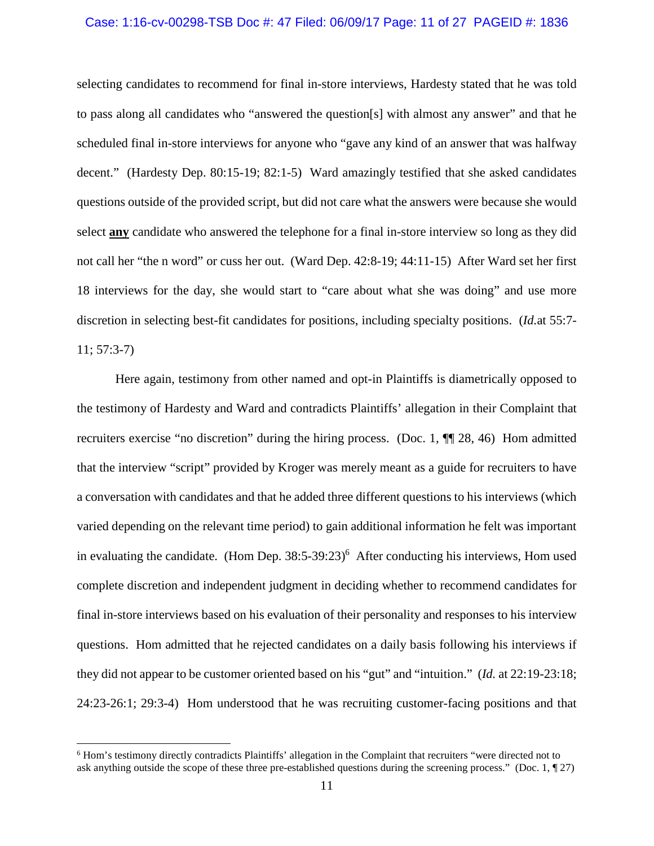### Case: 1:16-cv-00298-TSB Doc #: 47 Filed: 06/09/17 Page: 11 of 27 PAGEID #: 1836

selecting candidates to recommend for final in-store interviews, Hardesty stated that he was told to pass along all candidates who "answered the question[s] with almost any answer" and that he scheduled final in-store interviews for anyone who "gave any kind of an answer that was halfway decent." (Hardesty Dep. 80:15-19; 82:1-5) Ward amazingly testified that she asked candidates questions outside of the provided script, but did not care what the answers were because she would select **any** candidate who answered the telephone for a final in-store interview so long as they did not call her "the n word" or cuss her out. (Ward Dep. 42:8-19; 44:11-15) After Ward set her first 18 interviews for the day, she would start to "care about what she was doing" and use more discretion in selecting best-fit candidates for positions, including specialty positions. (*Id.*at 55:7- 11; 57:3-7)

Here again, testimony from other named and opt-in Plaintiffs is diametrically opposed to the testimony of Hardesty and Ward and contradicts Plaintiffs' allegation in their Complaint that recruiters exercise "no discretion" during the hiring process. (Doc. 1, ¶¶ 28, 46) Hom admitted that the interview "script" provided by Kroger was merely meant as a guide for recruiters to have a conversation with candidates and that he added three different questions to his interviews (which varied depending on the relevant time period) to gain additional information he felt was important in evaluating the candidate. (Hom Dep.  $38:5-39:23$ )<sup>6</sup> After conducting his interviews, Hom used complete discretion and independent judgment in deciding whether to recommend candidates for final in-store interviews based on his evaluation of their personality and responses to his interview questions. Hom admitted that he rejected candidates on a daily basis following his interviews if they did not appear to be customer oriented based on his "gut" and "intuition." (*Id.* at 22:19-23:18; 24:23-26:1; 29:3-4) Hom understood that he was recruiting customer-facing positions and that

<sup>&</sup>lt;sup>6</sup> Hom's testimony directly contradicts Plaintiffs' allegation in the Complaint that recruiters "were directed not to ask anything outside the scope of these three pre-established questions during the screening process." (Doc.  $1, \P$  27)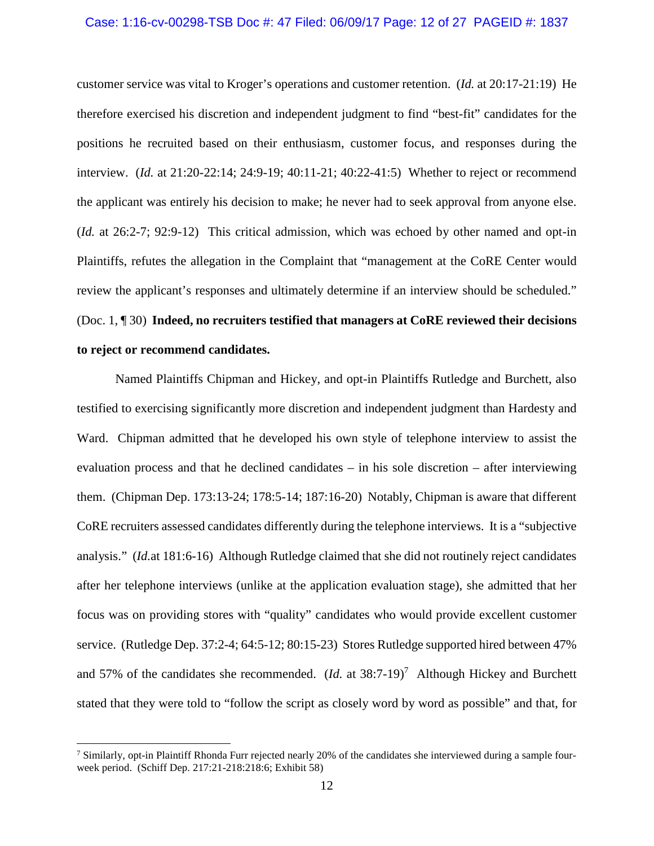#### Case: 1:16-cv-00298-TSB Doc #: 47 Filed: 06/09/17 Page: 12 of 27 PAGEID #: 1837

customer service was vital to Kroger's operations and customer retention. (*Id.* at 20:17-21:19) He therefore exercised his discretion and independent judgment to find "best-fit" candidates for the positions he recruited based on their enthusiasm, customer focus, and responses during the interview. (*Id.* at 21:20-22:14; 24:9-19; 40:11-21; 40:22-41:5) Whether to reject or recommend the applicant was entirely his decision to make; he never had to seek approval from anyone else. (*Id.* at 26:2-7; 92:9-12) This critical admission, which was echoed by other named and opt-in Plaintiffs, refutes the allegation in the Complaint that "management at the CoRE Center would review the applicant's responses and ultimately determine if an interview should be scheduled." (Doc. 1, ¶ 30) **Indeed, no recruiters testified that managers at CoRE reviewed their decisions to reject or recommend candidates.**

Named Plaintiffs Chipman and Hickey, and opt-in Plaintiffs Rutledge and Burchett, also testified to exercising significantly more discretion and independent judgment than Hardesty and Ward. Chipman admitted that he developed his own style of telephone interview to assist the evaluation process and that he declined candidates – in his sole discretion – after interviewing them. (Chipman Dep. 173:13-24; 178:5-14; 187:16-20) Notably, Chipman is aware that different CoRE recruiters assessed candidates differently during the telephone interviews. It is a "subjective analysis." (*Id.*at 181:6-16) Although Rutledge claimed that she did not routinely reject candidates after her telephone interviews (unlike at the application evaluation stage), she admitted that her focus was on providing stores with "quality" candidates who would provide excellent customer service. (Rutledge Dep. 37:2-4; 64:5-12; 80:15-23) Stores Rutledge supported hired between 47% and 57% of the candidates she recommended.  $(Id.$  at  $38:7-19)^7$  Although Hickey and Burchett stated that they were told to "follow the script as closely word by word as possible" and that, for

<sup>&</sup>lt;sup>7</sup> Similarly, opt-in Plaintiff Rhonda Furr rejected nearly 20% of the candidates she interviewed during a sample fourweek period. (Schiff Dep. 217:21-218:218:6; Exhibit 58)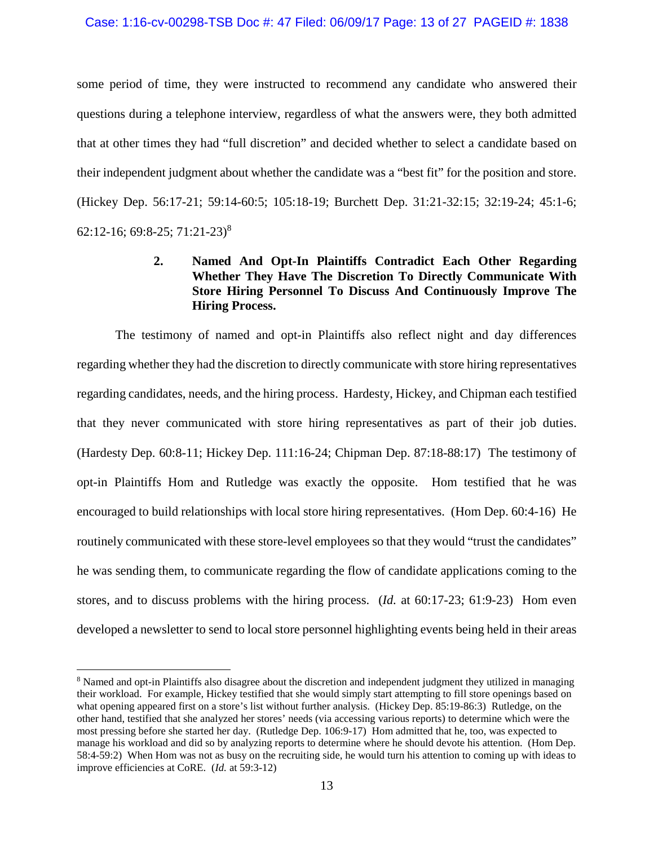#### Case: 1:16-cv-00298-TSB Doc #: 47 Filed: 06/09/17 Page: 13 of 27 PAGEID #: 1838

some period of time, they were instructed to recommend any candidate who answered their questions during a telephone interview, regardless of what the answers were, they both admitted that at other times they had "full discretion" and decided whether to select a candidate based on their independent judgment about whether the candidate was a "best fit" for the position and store. (Hickey Dep. 56:17-21; 59:14-60:5; 105:18-19; Burchett Dep. 31:21-32:15; 32:19-24; 45:1-6; 62:12-16; 69:8-25; 71:21-23)<sup>8</sup>

# **2. Named And Opt-In Plaintiffs Contradict Each Other Regarding Whether They Have The Discretion To Directly Communicate With Store Hiring Personnel To Discuss And Continuously Improve The Hiring Process.**

The testimony of named and opt-in Plaintiffs also reflect night and day differences regarding whether they had the discretion to directly communicate with store hiring representatives regarding candidates, needs, and the hiring process. Hardesty, Hickey, and Chipman each testified that they never communicated with store hiring representatives as part of their job duties. (Hardesty Dep. 60:8-11; Hickey Dep. 111:16-24; Chipman Dep. 87:18-88:17) The testimony of opt-in Plaintiffs Hom and Rutledge was exactly the opposite. Hom testified that he was encouraged to build relationships with local store hiring representatives. (Hom Dep. 60:4-16) He routinely communicated with these store-level employees so that they would "trust the candidates" he was sending them, to communicate regarding the flow of candidate applications coming to the stores, and to discuss problems with the hiring process. (*Id.* at 60:17-23; 61:9-23) Hom even developed a newsletter to send to local store personnel highlighting events being held in their areas

<sup>&</sup>lt;sup>8</sup> Named and opt-in Plaintiffs also disagree about the discretion and independent judgment they utilized in managing their workload. For example, Hickey testified that she would simply start attempting to fill store openings based on what opening appeared first on a store's list without further analysis. (Hickey Dep. 85:19-86:3) Rutledge, on the other hand, testified that she analyzed her stores' needs (via accessing various reports) to determine which were the most pressing before she started her day. (Rutledge Dep. 106:9-17) Hom admitted that he, too, was expected to manage his workload and did so by analyzing reports to determine where he should devote his attention. (Hom Dep. 58:4-59:2) When Hom was not as busy on the recruiting side, he would turn his attention to coming up with ideas to improve efficiencies at CoRE. (*Id.* at 59:3-12)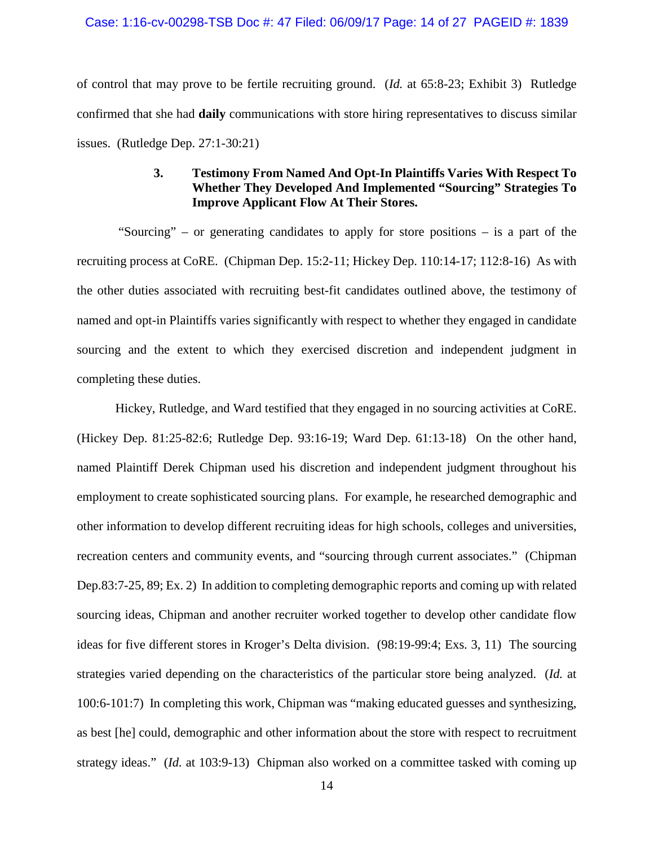### Case: 1:16-cv-00298-TSB Doc #: 47 Filed: 06/09/17 Page: 14 of 27 PAGEID #: 1839

of control that may prove to be fertile recruiting ground. (*Id.* at 65:8-23; Exhibit 3) Rutledge confirmed that she had **daily** communications with store hiring representatives to discuss similar issues. (Rutledge Dep. 27:1-30:21)

# **3. Testimony From Named And Opt-In Plaintiffs Varies With Respect To Whether They Developed And Implemented "Sourcing" Strategies To Improve Applicant Flow At Their Stores.**

"Sourcing" – or generating candidates to apply for store positions – is a part of the recruiting process at CoRE. (Chipman Dep. 15:2-11; Hickey Dep. 110:14-17; 112:8-16) As with the other duties associated with recruiting best-fit candidates outlined above, the testimony of named and opt-in Plaintiffs varies significantly with respect to whether they engaged in candidate sourcing and the extent to which they exercised discretion and independent judgment in completing these duties.

Hickey, Rutledge, and Ward testified that they engaged in no sourcing activities at CoRE. (Hickey Dep. 81:25-82:6; Rutledge Dep. 93:16-19; Ward Dep. 61:13-18) On the other hand, named Plaintiff Derek Chipman used his discretion and independent judgment throughout his employment to create sophisticated sourcing plans. For example, he researched demographic and other information to develop different recruiting ideas for high schools, colleges and universities, recreation centers and community events, and "sourcing through current associates." (Chipman Dep.83:7-25, 89; Ex. 2) In addition to completing demographic reports and coming up with related sourcing ideas, Chipman and another recruiter worked together to develop other candidate flow ideas for five different stores in Kroger's Delta division. (98:19-99:4; Exs. 3, 11) The sourcing strategies varied depending on the characteristics of the particular store being analyzed. (*Id.* at 100:6-101:7) In completing this work, Chipman was "making educated guesses and synthesizing, as best [he] could, demographic and other information about the store with respect to recruitment strategy ideas." (*Id.* at 103:9-13) Chipman also worked on a committee tasked with coming up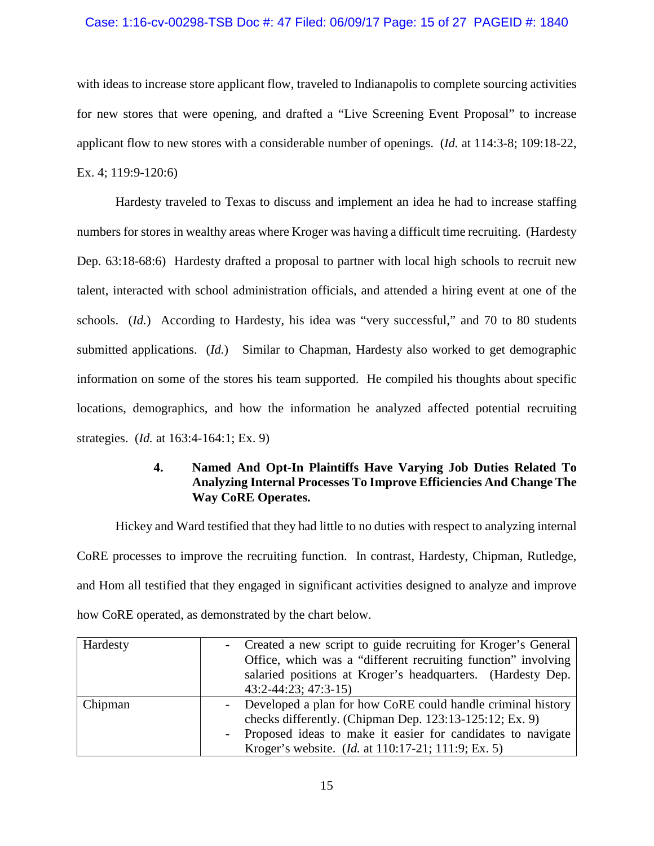### Case: 1:16-cv-00298-TSB Doc #: 47 Filed: 06/09/17 Page: 15 of 27 PAGEID #: 1840

with ideas to increase store applicant flow, traveled to Indianapolis to complete sourcing activities for new stores that were opening, and drafted a "Live Screening Event Proposal" to increase applicant flow to new stores with a considerable number of openings. (*Id.* at 114:3-8; 109:18-22, Ex. 4; 119:9-120:6)

Hardesty traveled to Texas to discuss and implement an idea he had to increase staffing numbers for stores in wealthy areas where Kroger was having a difficult time recruiting. (Hardesty Dep. 63:18-68:6) Hardesty drafted a proposal to partner with local high schools to recruit new talent, interacted with school administration officials, and attended a hiring event at one of the schools. (*Id.*) According to Hardesty, his idea was "very successful," and 70 to 80 students submitted applications. (*Id.*) Similar to Chapman, Hardesty also worked to get demographic information on some of the stores his team supported. He compiled his thoughts about specific locations, demographics, and how the information he analyzed affected potential recruiting strategies. (*Id.* at 163:4-164:1; Ex. 9)

# **4. Named And Opt-In Plaintiffs Have Varying Job Duties Related To Analyzing Internal Processes To Improve Efficiencies And Change The Way CoRE Operates.**

Hickey and Ward testified that they had little to no duties with respect to analyzing internal CoRE processes to improve the recruiting function. In contrast, Hardesty, Chipman, Rutledge, and Hom all testified that they engaged in significant activities designed to analyze and improve how CoRE operated, as demonstrated by the chart below.

| Hardesty | - Created a new script to guide recruiting for Kroger's General |
|----------|-----------------------------------------------------------------|
|          | Office, which was a "different recruiting function" involving   |
|          | salaried positions at Kroger's headquarters. (Hardesty Dep.     |
|          | 43:2-44:23; 47:3-15)                                            |
| Chipman  | Developed a plan for how CoRE could handle criminal history     |
|          | checks differently. (Chipman Dep. 123:13-125:12; Ex. 9)         |
|          | - Proposed ideas to make it easier for candidates to navigate   |
|          | Kroger's website. ( <i>Id.</i> at 110:17-21; 111:9; Ex. 5)      |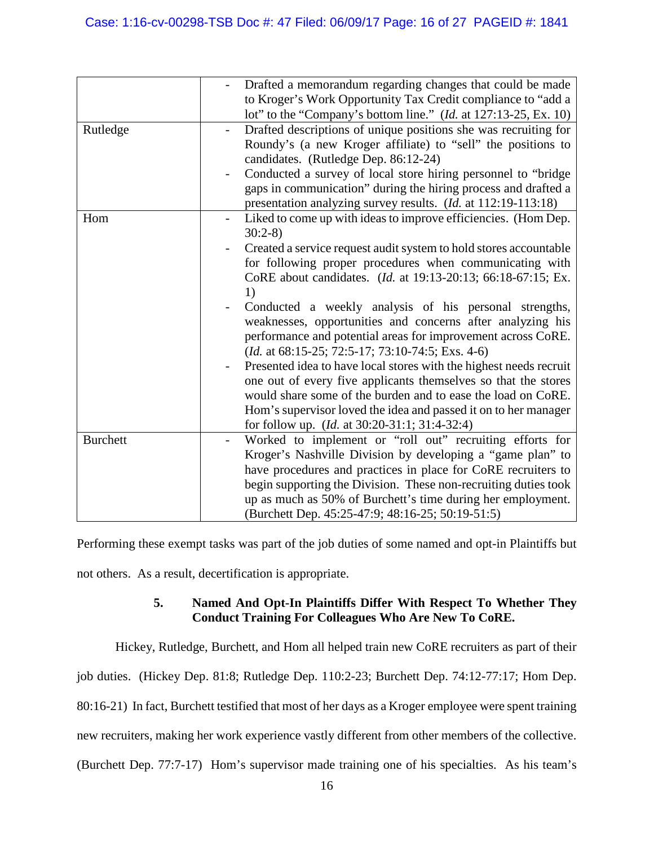| Drafted a memorandum regarding changes that could be made          |
|--------------------------------------------------------------------|
| to Kroger's Work Opportunity Tax Credit compliance to "add a       |
| lot" to the "Company's bottom line." $(Id.$ at 127:13-25, Ex. 10)  |
| Drafted descriptions of unique positions she was recruiting for    |
| Roundy's (a new Kroger affiliate) to "sell" the positions to       |
| candidates. (Rutledge Dep. 86:12-24)                               |
| Conducted a survey of local store hiring personnel to "bridge"     |
| gaps in communication" during the hiring process and drafted a     |
| presentation analyzing survey results. (Id. at 112:19-113:18)      |
| Liked to come up with ideas to improve efficiencies. (Hom Dep.     |
| $30:2-8$                                                           |
| Created a service request audit system to hold stores accountable  |
| for following proper procedures when communicating with            |
| CoRE about candidates. (Id. at 19:13-20:13; 66:18-67:15; Ex.       |
| 1)                                                                 |
| Conducted a weekly analysis of his personal strengths,             |
| weaknesses, opportunities and concerns after analyzing his         |
| performance and potential areas for improvement across CoRE.       |
| ( <i>Id.</i> at $68:15-25$ ; $72:5-17$ ; $73:10-74:5$ ; Exs. 4-6)  |
| Presented idea to have local stores with the highest needs recruit |
| one out of every five applicants themselves so that the stores     |
| would share some of the burden and to ease the load on CoRE.       |
| Hom's supervisor loved the idea and passed it on to her manager    |
| for follow up. (Id. at 30:20-31:1; 31:4-32:4)                      |
| Worked to implement or "roll out" recruiting efforts for           |
| Kroger's Nashville Division by developing a "game plan" to         |
| have procedures and practices in place for CoRE recruiters to      |
| begin supporting the Division. These non-recruiting duties took    |
| up as much as 50% of Burchett's time during her employment.        |
| (Burchett Dep. 45:25-47:9; 48:16-25; 50:19-51:5)                   |
|                                                                    |

Performing these exempt tasks was part of the job duties of some named and opt-in Plaintiffs but not others. As a result, decertification is appropriate.

# **5. Named And Opt-In Plaintiffs Differ With Respect To Whether They Conduct Training For Colleagues Who Are New To CoRE.**

Hickey, Rutledge, Burchett, and Hom all helped train new CoRE recruiters as part of their job duties. (Hickey Dep. 81:8; Rutledge Dep. 110:2-23; Burchett Dep. 74:12-77:17; Hom Dep. 80:16-21) In fact, Burchett testified that most of her days as a Kroger employee were spent training new recruiters, making her work experience vastly different from other members of the collective. (Burchett Dep. 77:7-17) Hom's supervisor made training one of his specialties. As his team's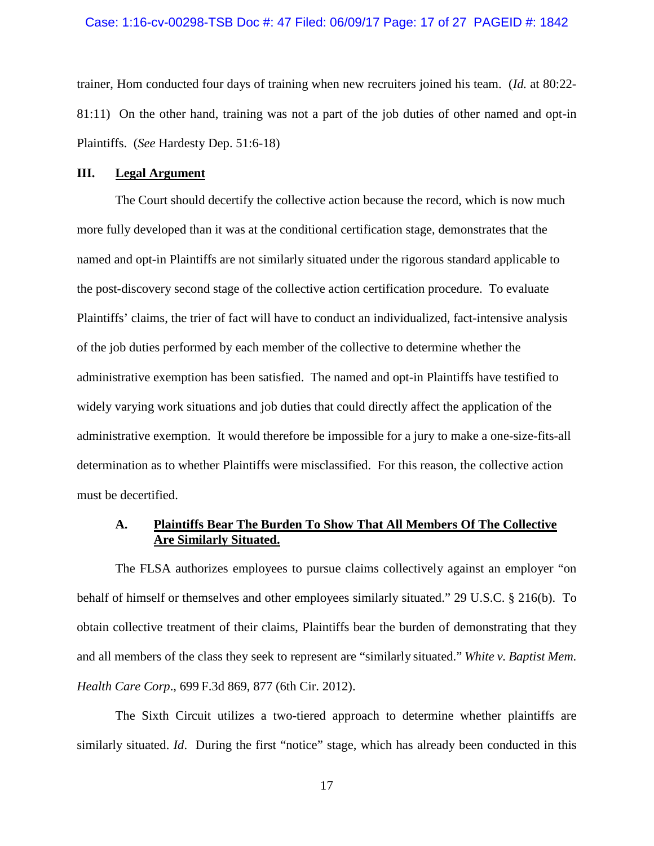#### Case: 1:16-cv-00298-TSB Doc #: 47 Filed: 06/09/17 Page: 17 of 27 PAGEID #: 1842

trainer, Hom conducted four days of training when new recruiters joined his team. (*Id.* at 80:22- 81:11) On the other hand, training was not a part of the job duties of other named and opt-in Plaintiffs. (*See* Hardesty Dep. 51:6-18)

### **III. Legal Argument**

The Court should decertify the collective action because the record, which is now much more fully developed than it was at the conditional certification stage, demonstrates that the named and opt-in Plaintiffs are not similarly situated under the rigorous standard applicable to the post-discovery second stage of the collective action certification procedure. To evaluate Plaintiffs' claims, the trier of fact will have to conduct an individualized, fact-intensive analysis of the job duties performed by each member of the collective to determine whether the administrative exemption has been satisfied. The named and opt-in Plaintiffs have testified to widely varying work situations and job duties that could directly affect the application of the administrative exemption. It would therefore be impossible for a jury to make a one-size-fits-all determination as to whether Plaintiffs were misclassified. For this reason, the collective action must be decertified.

## **A. Plaintiffs Bear The Burden To Show That All Members Of The Collective Are Similarly Situated.**

The FLSA authorizes employees to pursue claims collectively against an employer "on behalf of himself or themselves and other employees similarly situated." 29 U.S.C. § 216(b). To obtain collective treatment of their claims, Plaintiffs bear the burden of demonstrating that they and all members of the class they seek to represent are "similarly situated." *White v. Baptist Mem. Health Care Corp*., 699 F.3d 869, 877 (6th Cir. 2012).

The Sixth Circuit utilizes a two-tiered approach to determine whether plaintiffs are similarly situated. *Id*. During the first "notice" stage, which has already been conducted in this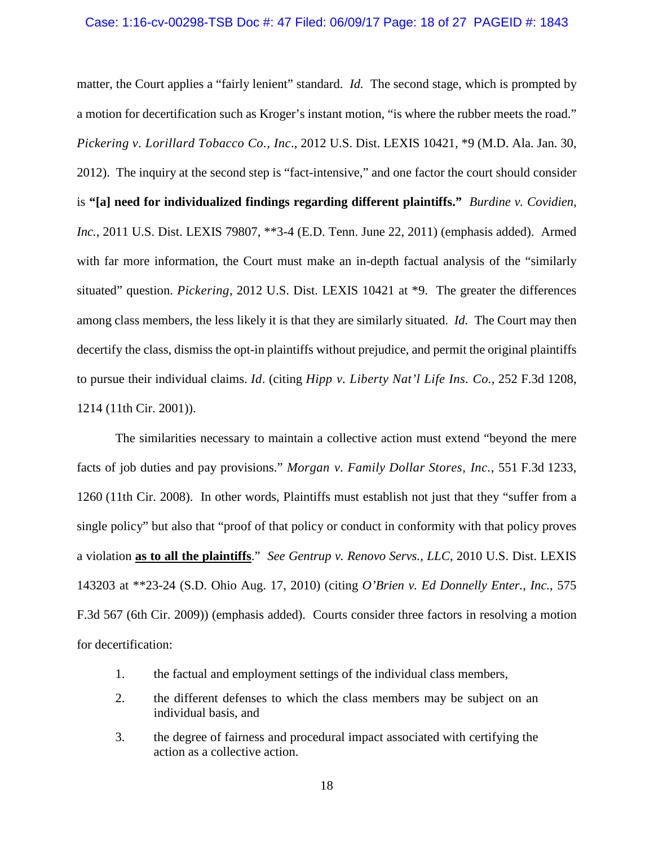#### Case: 1:16-cv-00298-TSB Doc #: 47 Filed: 06/09/17 Page: 18 of 27 PAGEID #: 1843

matter, the Court applies a "fairly lenient" standard. *Id.* The second stage, which is prompted by a motion for decertification such as Kroger's instant motion, "is where the rubber meets the road." *Pickering v. Lorillard Tobacco Co., Inc*., 2012 U.S. Dist. LEXIS 10421, \*9 (M.D. Ala. Jan. 30, 2012). The inquiry at the second step is "fact-intensive," and one factor the court should consider is **"[a] need for individualized findings regarding different plaintiffs."** *Burdine v. Covidien, Inc.*, 2011 U.S. Dist. LEXIS 79807, \*\*3-4 (E.D. Tenn. June 22, 2011) (emphasis added). Armed with far more information, the Court must make an in-depth factual analysis of the "similarly situated" question. *Pickering*, 2012 U.S. Dist. LEXIS 10421 at \*9. The greater the differences among class members, the less likely it is that they are similarly situated. *Id.* The Court may then decertify the class, dismiss the opt-in plaintiffs without prejudice, and permit the original plaintiffs to pursue their individual claims. *Id*. (citing *Hipp v. Liberty Nat'l Life Ins. Co.,* 252 F.3d 1208, 1214 (11th Cir. 2001)).

The similarities necessary to maintain a collective action must extend "beyond the mere facts of job duties and pay provisions." *Morgan v. Family Dollar Stores, Inc.*, 551 F.3d 1233, 1260 (11th Cir. 2008). In other words, Plaintiffs must establish not just that they "suffer from a single policy" but also that "proof of that policy or conduct in conformity with that policy proves a violation **as to all the plaintiffs**." *See Gentrup v. Renovo Servs., LLC,* 2010 U.S. Dist. LEXIS 143203 at \*\*23-24 (S.D. Ohio Aug. 17, 2010) (citing *O'Brien v. Ed Donnelly Enter., Inc.*, 575 F.3d 567 (6th Cir. 2009)) (emphasis added). Courts consider three factors in resolving a motion for decertification:

- 1. the factual and employment settings of the individual class members,
- 2. the different defenses to which the class members may be subject on an individual basis, and
- 3. the degree of fairness and procedural impact associated with certifying the action as a collective action.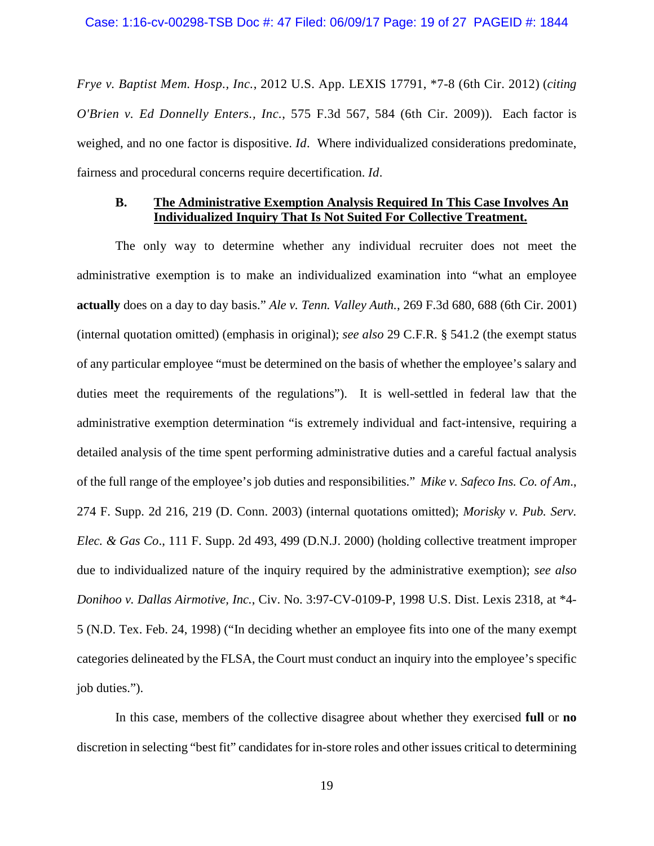*Frye v. Baptist Mem. Hosp., Inc.*, 2012 U.S. App. LEXIS 17791, \*7-8 (6th Cir. 2012) (*citing O'Brien v. Ed Donnelly Enters., Inc.*, 575 F.3d 567, 584 (6th Cir. 2009)). Each factor is weighed, and no one factor is dispositive. *Id*. Where individualized considerations predominate, fairness and procedural concerns require decertification. *Id*.

### **B. The Administrative Exemption Analysis Required In This Case Involves An Individualized Inquiry That Is Not Suited For Collective Treatment.**

The only way to determine whether any individual recruiter does not meet the administrative exemption is to make an individualized examination into "what an employee **actually** does on a day to day basis." *Ale v. Tenn. Valley Auth.*, 269 F.3d 680, 688 (6th Cir. 2001) (internal quotation omitted) (emphasis in original); *see also* 29 C.F.R. § 541.2 (the exempt status of any particular employee "must be determined on the basis of whether the employee's salary and duties meet the requirements of the regulations"). It is well-settled in federal law that the administrative exemption determination "is extremely individual and fact-intensive, requiring a detailed analysis of the time spent performing administrative duties and a careful factual analysis of the full range of the employee's job duties and responsibilities." *Mike v. Safeco Ins. Co. of Am*., 274 F. Supp. 2d 216, 219 (D. Conn. 2003) (internal quotations omitted); *Morisky v. Pub. Serv. Elec. & Gas Co*., 111 F. Supp. 2d 493, 499 (D.N.J. 2000) (holding collective treatment improper due to individualized nature of the inquiry required by the administrative exemption); *see also Donihoo v. Dallas Airmotive, Inc.*, Civ. No. 3:97-CV-0109-P, 1998 U.S. Dist. Lexis 2318, at \*4- 5 (N.D. Tex. Feb. 24, 1998) ("In deciding whether an employee fits into one of the many exempt categories delineated by the FLSA, the Court must conduct an inquiry into the employee's specific job duties.").

In this case, members of the collective disagree about whether they exercised **full** or **no** discretion in selecting "best fit" candidates for in-store roles and other issues critical to determining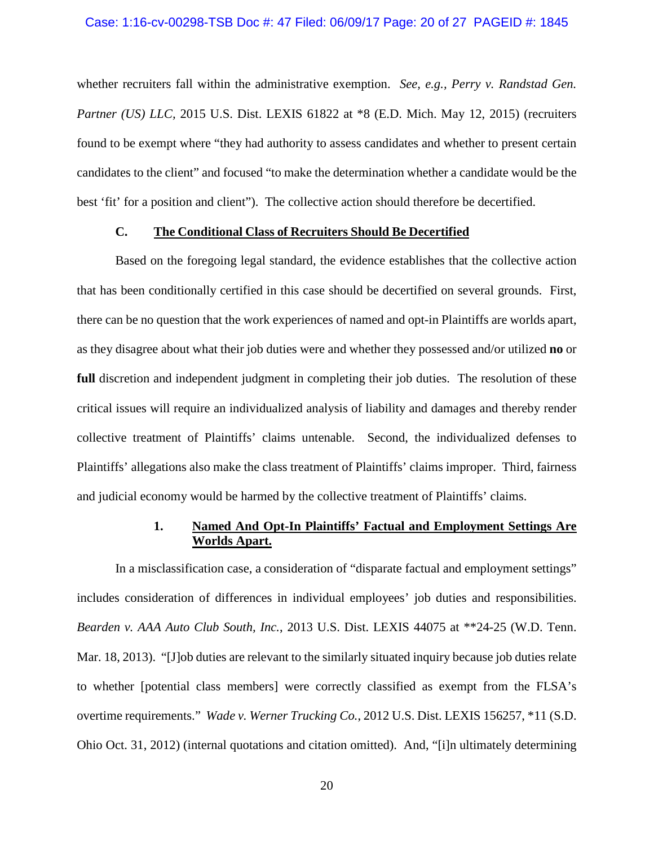whether recruiters fall within the administrative exemption. *See, e.g., Perry v. Randstad Gen. Partner (US) LLC, 2015 U.S. Dist. LEXIS 61822 at \*8 (E.D. Mich. May 12, 2015) (recruiters* found to be exempt where "they had authority to assess candidates and whether to present certain candidates to the client" and focused "to make the determination whether a candidate would be the best 'fit' for a position and client"). The collective action should therefore be decertified.

### **C. The Conditional Class of Recruiters Should Be Decertified**

Based on the foregoing legal standard, the evidence establishes that the collective action that has been conditionally certified in this case should be decertified on several grounds. First, there can be no question that the work experiences of named and opt-in Plaintiffs are worlds apart, as they disagree about what their job duties were and whether they possessed and/or utilized **no** or **full** discretion and independent judgment in completing their job duties. The resolution of these critical issues will require an individualized analysis of liability and damages and thereby render collective treatment of Plaintiffs' claims untenable. Second, the individualized defenses to Plaintiffs' allegations also make the class treatment of Plaintiffs' claims improper. Third, fairness and judicial economy would be harmed by the collective treatment of Plaintiffs' claims.

# **1. Named And Opt-In Plaintiffs' Factual and Employment Settings Are Worlds Apart.**

In a misclassification case, a consideration of "disparate factual and employment settings" includes consideration of differences in individual employees' job duties and responsibilities. *Bearden v. AAA Auto Club South, Inc.*, 2013 U.S. Dist. LEXIS 44075 at \*\*24-25 (W.D. Tenn. Mar. 18, 2013). "[J]ob duties are relevant to the similarly situated inquiry because job duties relate to whether [potential class members] were correctly classified as exempt from the FLSA's overtime requirements." *Wade v. Werner Trucking Co.*, 2012 U.S. Dist. LEXIS 156257, \*11 (S.D. Ohio Oct. 31, 2012) (internal quotations and citation omitted). And, "[i]n ultimately determining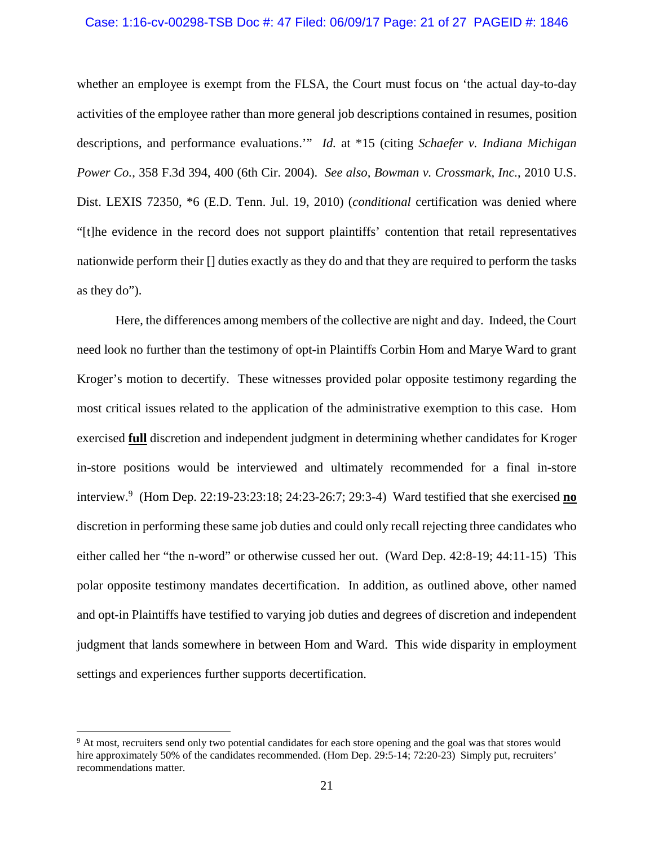### Case: 1:16-cv-00298-TSB Doc #: 47 Filed: 06/09/17 Page: 21 of 27 PAGEID #: 1846

whether an employee is exempt from the FLSA, the Court must focus on 'the actual day-to-day activities of the employee rather than more general job descriptions contained in resumes, position descriptions, and performance evaluations.'" *Id.* at \*15 (citing *Schaefer v. Indiana Michigan Power Co.*, 358 F.3d 394, 400 (6th Cir. 2004). *See also, Bowman v. Crossmark, Inc.*, 2010 U.S. Dist. LEXIS 72350, \*6 (E.D. Tenn. Jul. 19, 2010) (*conditional* certification was denied where "[t]he evidence in the record does not support plaintiffs' contention that retail representatives nationwide perform their [] duties exactly as they do and that they are required to perform the tasks as they do").

Here, the differences among members of the collective are night and day. Indeed, the Court need look no further than the testimony of opt-in Plaintiffs Corbin Hom and Marye Ward to grant Kroger's motion to decertify. These witnesses provided polar opposite testimony regarding the most critical issues related to the application of the administrative exemption to this case. Hom exercised **full** discretion and independent judgment in determining whether candidates for Kroger in-store positions would be interviewed and ultimately recommended for a final in-store interview.<sup>9</sup> (Hom Dep. 22:19-23:23:18; 24:23-26:7; 29:3-4) Ward testified that she exercised **no** discretion in performing these same job duties and could only recall rejecting three candidates who either called her "the n-word" or otherwise cussed her out. (Ward Dep. 42:8-19; 44:11-15) This polar opposite testimony mandates decertification. In addition, as outlined above, other named and opt-in Plaintiffs have testified to varying job duties and degrees of discretion and independent judgment that lands somewhere in between Hom and Ward. This wide disparity in employment settings and experiences further supports decertification.

<sup>&</sup>lt;sup>9</sup> At most, recruiters send only two potential candidates for each store opening and the goal was that stores would hire approximately 50% of the candidates recommended. (Hom Dep. 29:5-14; 72:20-23) Simply put, recruiters' recommendations matter.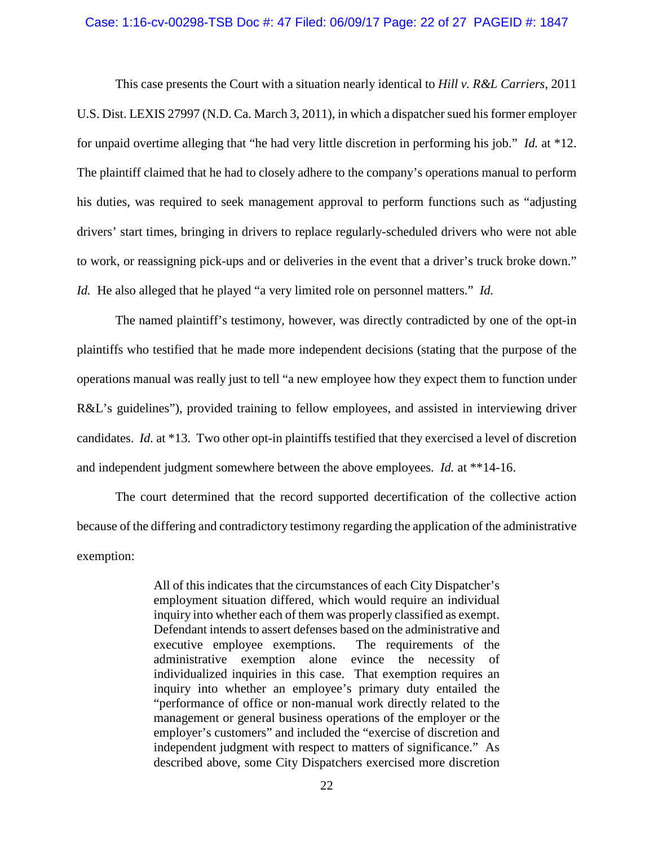#### Case: 1:16-cv-00298-TSB Doc #: 47 Filed: 06/09/17 Page: 22 of 27 PAGEID #: 1847

This case presents the Court with a situation nearly identical to *Hill v. R&L Carriers*, 2011 U.S. Dist. LEXIS 27997 (N.D. Ca. March 3, 2011), in which a dispatcher sued his former employer for unpaid overtime alleging that "he had very little discretion in performing his job." *Id.* at \*12. The plaintiff claimed that he had to closely adhere to the company's operations manual to perform his duties, was required to seek management approval to perform functions such as "adjusting drivers' start times, bringing in drivers to replace regularly-scheduled drivers who were not able to work, or reassigning pick-ups and or deliveries in the event that a driver's truck broke down." *Id.* He also alleged that he played "a very limited role on personnel matters." *Id.*

The named plaintiff's testimony, however, was directly contradicted by one of the opt-in plaintiffs who testified that he made more independent decisions (stating that the purpose of the operations manual was really just to tell "a new employee how they expect them to function under R&L's guidelines"), provided training to fellow employees, and assisted in interviewing driver candidates. *Id.* at \*13. Two other opt-in plaintiffs testified that they exercised a level of discretion and independent judgment somewhere between the above employees. *Id.* at \*\*14-16.

The court determined that the record supported decertification of the collective action because of the differing and contradictory testimony regarding the application of the administrative exemption:

> All of this indicates that the circumstances of each City Dispatcher's employment situation differed, which would require an individual inquiry into whether each of them was properly classified as exempt. Defendant intends to assert defenses based on the administrative and executive employee exemptions. The requirements of the administrative exemption alone evince the necessity of individualized inquiries in this case. That exemption requires an inquiry into whether an employee's primary duty entailed the "performance of office or non-manual work directly related to the management or general business operations of the employer or the employer's customers" and included the "exercise of discretion and independent judgment with respect to matters of significance." As described above, some City Dispatchers exercised more discretion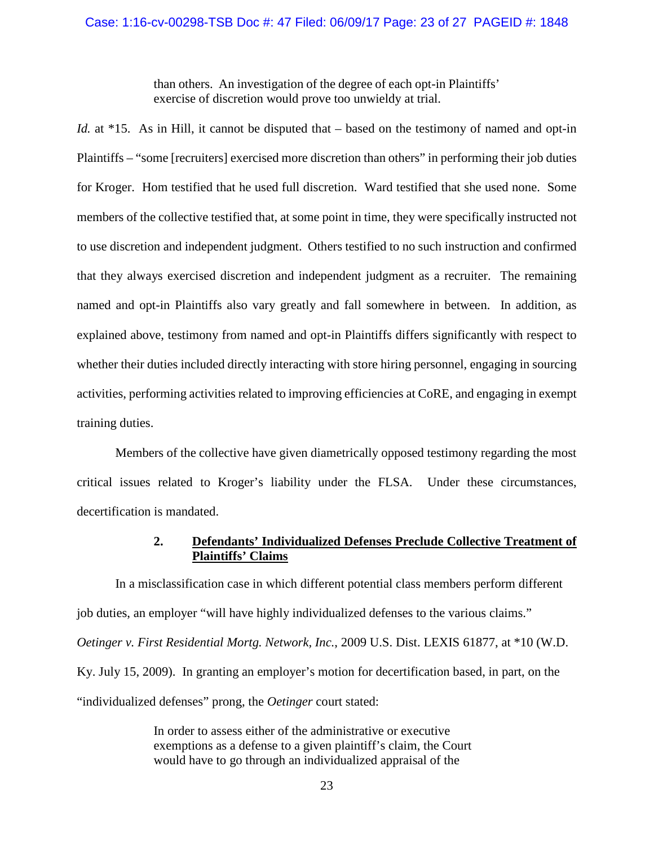than others. An investigation of the degree of each opt-in Plaintiffs' exercise of discretion would prove too unwieldy at trial.

*Id.* at \*15. As in Hill, it cannot be disputed that – based on the testimony of named and opt-in Plaintiffs – "some [recruiters] exercised more discretion than others" in performing their job duties for Kroger. Hom testified that he used full discretion. Ward testified that she used none. Some members of the collective testified that, at some point in time, they were specifically instructed not to use discretion and independent judgment. Others testified to no such instruction and confirmed that they always exercised discretion and independent judgment as a recruiter. The remaining named and opt-in Plaintiffs also vary greatly and fall somewhere in between. In addition, as explained above, testimony from named and opt-in Plaintiffs differs significantly with respect to whether their duties included directly interacting with store hiring personnel, engaging in sourcing activities, performing activities related to improving efficiencies at CoRE, and engaging in exempt training duties.

Members of the collective have given diametrically opposed testimony regarding the most critical issues related to Kroger's liability under the FLSA. Under these circumstances, decertification is mandated.

# **2. Defendants' Individualized Defenses Preclude Collective Treatment of Plaintiffs' Claims**

In a misclassification case in which different potential class members perform different job duties, an employer "will have highly individualized defenses to the various claims." *Oetinger v. First Residential Mortg. Network, Inc.*, 2009 U.S. Dist. LEXIS 61877, at \*10 (W.D. Ky. July 15, 2009). In granting an employer's motion for decertification based, in part, on the "individualized defenses" prong, the *Oetinger* court stated:

> In order to assess either of the administrative or executive exemptions as a defense to a given plaintiff's claim, the Court would have to go through an individualized appraisal of the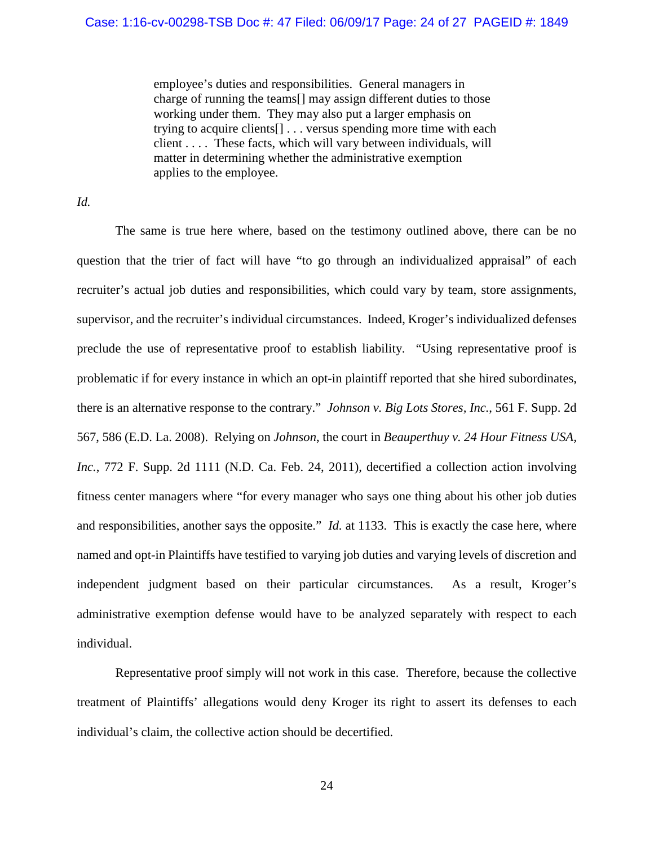employee's duties and responsibilities. General managers in charge of running the teams[] may assign different duties to those working under them. They may also put a larger emphasis on trying to acquire clients[] . . . versus spending more time with each client . . . . These facts, which will vary between individuals, will matter in determining whether the administrative exemption applies to the employee.

*Id.* 

The same is true here where, based on the testimony outlined above, there can be no question that the trier of fact will have "to go through an individualized appraisal" of each recruiter's actual job duties and responsibilities, which could vary by team, store assignments, supervisor, and the recruiter's individual circumstances. Indeed, Kroger's individualized defenses preclude the use of representative proof to establish liability. "Using representative proof is problematic if for every instance in which an opt-in plaintiff reported that she hired subordinates, there is an alternative response to the contrary." *Johnson v. Big Lots Stores, Inc.*, 561 F. Supp. 2d 567, 586 (E.D. La. 2008). Relying on *Johnson*, the court in *Beauperthuy v. 24 Hour Fitness USA, Inc.*, 772 F. Supp. 2d 1111 (N.D. Ca. Feb. 24, 2011), decertified a collection action involving fitness center managers where "for every manager who says one thing about his other job duties and responsibilities, another says the opposite." *Id.* at 1133. This is exactly the case here, where named and opt-in Plaintiffs have testified to varying job duties and varying levels of discretion and independent judgment based on their particular circumstances. As a result, Kroger's administrative exemption defense would have to be analyzed separately with respect to each individual.

Representative proof simply will not work in this case. Therefore, because the collective treatment of Plaintiffs' allegations would deny Kroger its right to assert its defenses to each individual's claim, the collective action should be decertified.

24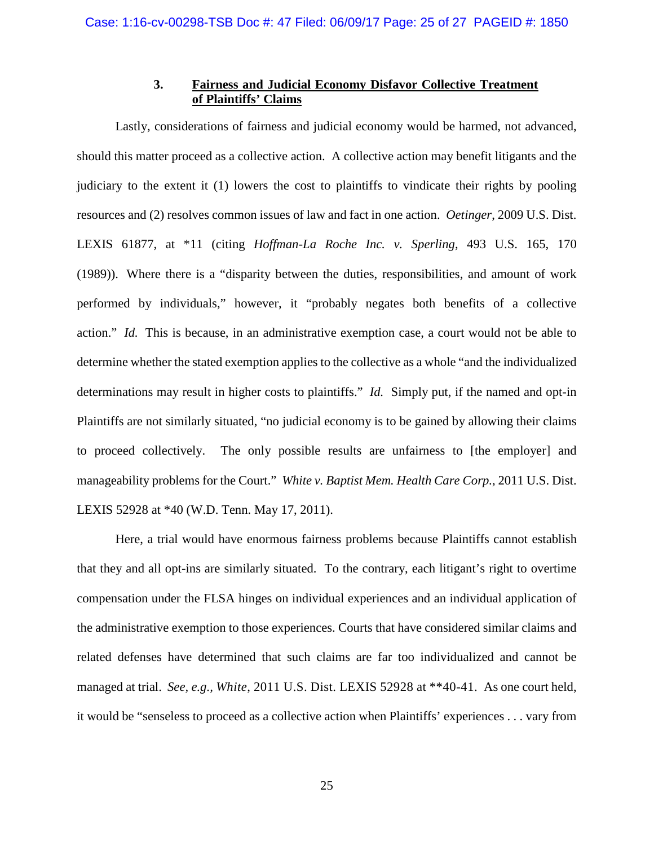## **3. Fairness and Judicial Economy Disfavor Collective Treatment of Plaintiffs' Claims**

Lastly, considerations of fairness and judicial economy would be harmed, not advanced, should this matter proceed as a collective action. A collective action may benefit litigants and the judiciary to the extent it (1) lowers the cost to plaintiffs to vindicate their rights by pooling resources and (2) resolves common issues of law and fact in one action. *Oetinger*, 2009 U.S. Dist. LEXIS 61877, at \*11 (citing *Hoffman-La Roche Inc. v. Sperling*, 493 U.S. 165, 170 (1989)). Where there is a "disparity between the duties, responsibilities, and amount of work performed by individuals," however, it "probably negates both benefits of a collective action." *Id.* This is because, in an administrative exemption case, a court would not be able to determine whether the stated exemption applies to the collective as a whole "and the individualized determinations may result in higher costs to plaintiffs." *Id.* Simply put, if the named and opt-in Plaintiffs are not similarly situated, "no judicial economy is to be gained by allowing their claims to proceed collectively. The only possible results are unfairness to [the employer] and manageability problems for the Court." *White v. Baptist Mem. Health Care Corp.*, 2011 U.S. Dist. LEXIS 52928 at \*40 (W.D. Tenn. May 17, 2011).

Here, a trial would have enormous fairness problems because Plaintiffs cannot establish that they and all opt-ins are similarly situated. To the contrary, each litigant's right to overtime compensation under the FLSA hinges on individual experiences and an individual application of the administrative exemption to those experiences. Courts that have considered similar claims and related defenses have determined that such claims are far too individualized and cannot be managed at trial. *See, e.g., White*, 2011 U.S. Dist. LEXIS 52928 at \*\*40-41. As one court held, it would be "senseless to proceed as a collective action when Plaintiffs' experiences . . . vary from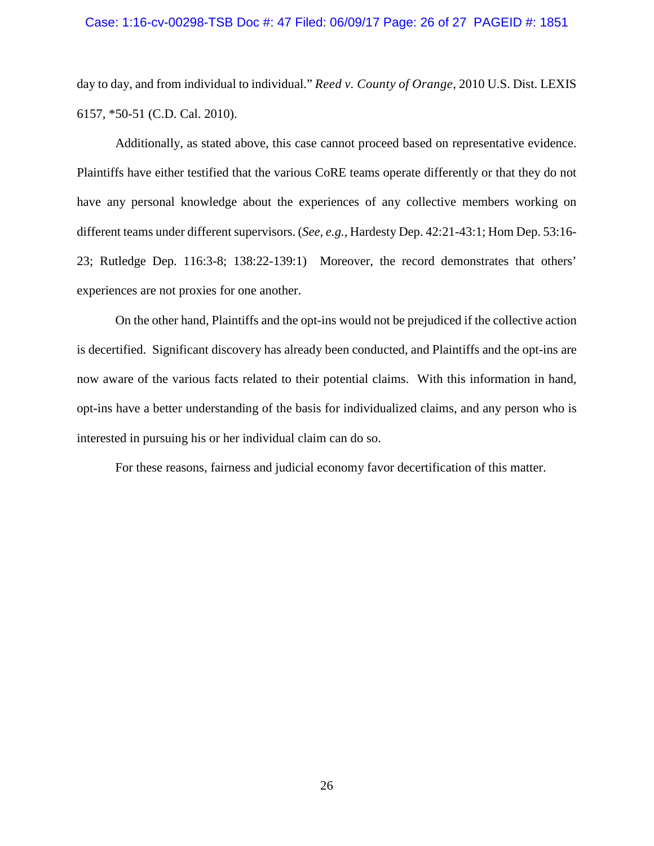#### Case: 1:16-cv-00298-TSB Doc #: 47 Filed: 06/09/17 Page: 26 of 27 PAGEID #: 1851

day to day, and from individual to individual." *Reed v. County of Orange*, 2010 U.S. Dist. LEXIS 6157, \*50-51 (C.D. Cal. 2010).

Additionally, as stated above, this case cannot proceed based on representative evidence. Plaintiffs have either testified that the various CoRE teams operate differently or that they do not have any personal knowledge about the experiences of any collective members working on different teams under different supervisors. (*See, e.g.,* Hardesty Dep. 42:21-43:1; Hom Dep. 53:16- 23; Rutledge Dep. 116:3-8; 138:22-139:1) Moreover, the record demonstrates that others' experiences are not proxies for one another.

On the other hand, Plaintiffs and the opt-ins would not be prejudiced if the collective action is decertified. Significant discovery has already been conducted, and Plaintiffs and the opt-ins are now aware of the various facts related to their potential claims. With this information in hand, opt-ins have a better understanding of the basis for individualized claims, and any person who is interested in pursuing his or her individual claim can do so.

For these reasons, fairness and judicial economy favor decertification of this matter.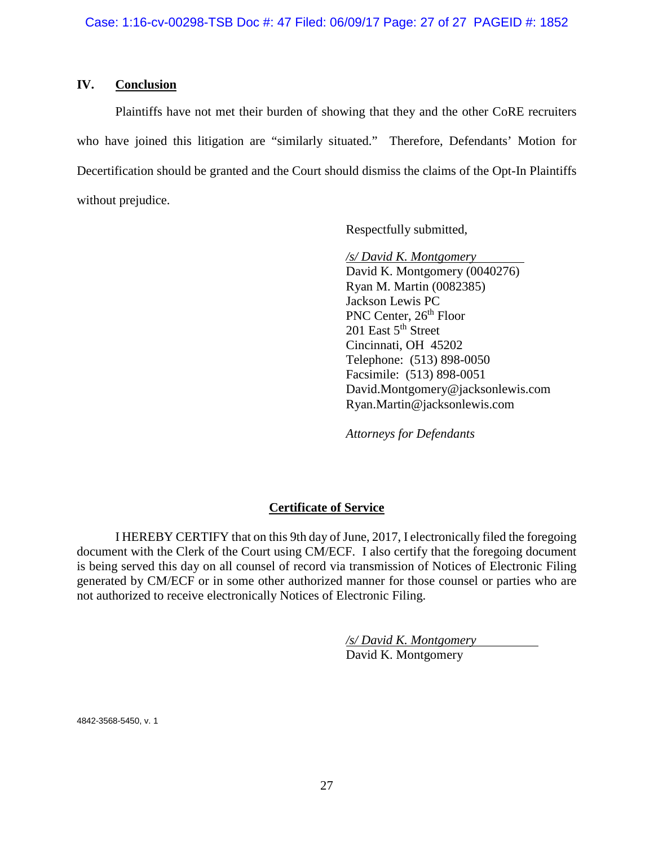### **IV. Conclusion**

Plaintiffs have not met their burden of showing that they and the other CoRE recruiters who have joined this litigation are "similarly situated." Therefore, Defendants' Motion for Decertification should be granted and the Court should dismiss the claims of the Opt-In Plaintiffs without prejudice.

Respectfully submitted,

*/s/ David K. Montgomery*  David K. Montgomery (0040276) Ryan M. Martin (0082385) Jackson Lewis PC PNC Center, 26<sup>th</sup> Floor  $201$  East  $5<sup>th</sup>$  Street Cincinnati, OH 45202 Telephone: (513) 898-0050 Facsimile: (513) 898-0051 David.Montgomery@jacksonlewis.com Ryan.Martin@jacksonlewis.com

*Attorneys for Defendants* 

# **Certificate of Service**

I HEREBY CERTIFY that on this 9th day of June, 2017, I electronically filed the foregoing document with the Clerk of the Court using CM/ECF. I also certify that the foregoing document is being served this day on all counsel of record via transmission of Notices of Electronic Filing generated by CM/ECF or in some other authorized manner for those counsel or parties who are not authorized to receive electronically Notices of Electronic Filing.

> */s/ David K. Montgomery*  David K. Montgomery

4842-3568-5450, v. 1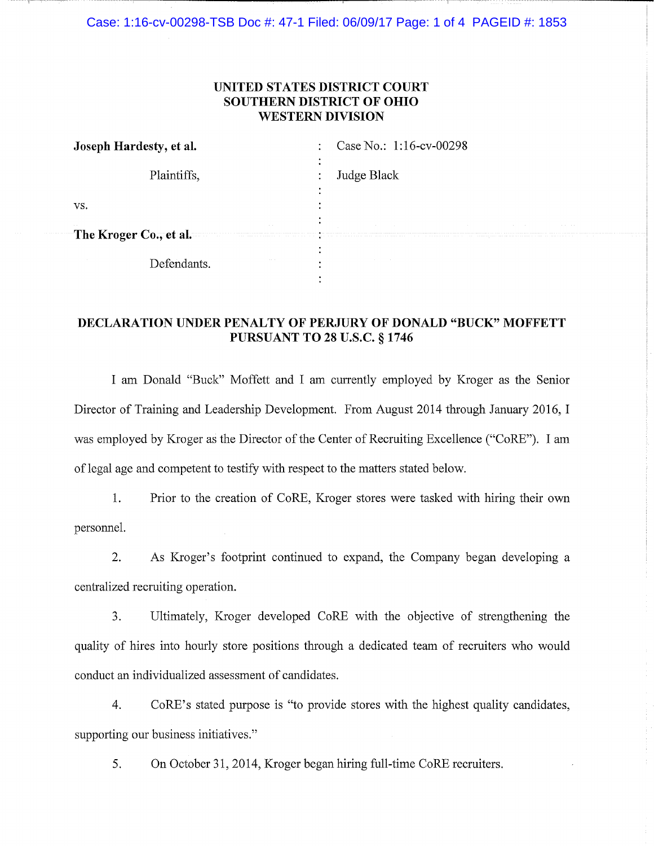Case: 1:16-cv-00298-TSB Doc #: 47-1 Filed: 06/09/17 Page: 1 of 4 PAGEID #: 1853

## UNITED STATES DISTRICT COURT **SOUTHERN DISTRICT OF OHIO WESTERN DIVISION**

| Joseph Hardesty, et al.                           | Case No.: 1:16-cv-00298                                                                                                                                                                                                                                                                |
|---------------------------------------------------|----------------------------------------------------------------------------------------------------------------------------------------------------------------------------------------------------------------------------------------------------------------------------------------|
| Plaintiffs,                                       | Judge Black                                                                                                                                                                                                                                                                            |
| VS.                                               |                                                                                                                                                                                                                                                                                        |
| $\footnotesize{\textsf{-The Kroger Co., et al.}}$ | the control of the control of the control of the<br>the control of the control of the control of the control of the control of<br><b>Contract</b><br>contract and a<br>and the control of the control of the control of the control of the control of the control of the control of th |
| Defendants                                        | <b>ALCOHOL:</b><br>$\bullet$                                                                                                                                                                                                                                                           |

# **DECLARATION UNDER PENALTY OF PERJURY OF DONALD "BUCK" MOFFETT PURSUANT TO 28 U.S.C. § 1746**

I am Donald "Buck" Moffett and I am currently employed by Kroger as the Senior Director of Training and Leadership Development. From August 2014 through January 2016, I was employed by Kroger as the Director of the Center of Recruiting Excellence ("CoRE"). I am of legal age and competent to testify with respect to the matters stated below.

 $1.$ Prior to the creation of CoRE, Kroger stores were tasked with hiring their own personnel.

As Kroger's footprint continued to expand, the Company began developing a  $2.$ centralized recruiting operation.

Ultimately, Kroger developed CoRE with the objective of strengthening the 3. quality of hires into hourly store positions through a dedicated team of recruiters who would conduct an individualized assessment of candidates.

CoRE's stated purpose is "to provide stores with the highest quality candidates, 4. supporting our business initiatives."

On October 31, 2014, Kroger began hiring full-time CoRE recruiters. 5.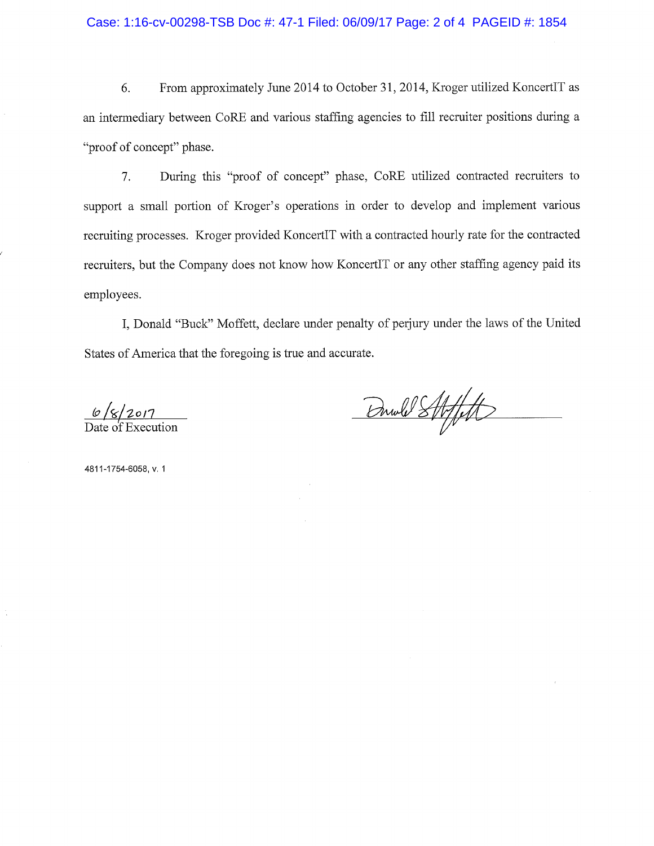6. From approximately June 2014 to October 31, 2014, Kroger utilized KoncertIT as an intermediary between CoRE and various staffing agencies to fill recruiter positions during a "proof of concept" phase.

7. During this "proof of concept" phase, CoRE utilized contracted recruiters to support a small portion of Kroger's operations in order to develop and implement various recruiting processes. Kroger provided KoncertIT with a contracted hourly rate for the contracted recruiters, but the Company does not know how KoncertIT or any other staffing agency paid its employees.

I, Donald "Buck" Moffett, declare under penalty of perjury under the laws of the United States of America that the foregoing is true and accurate.

Drwld Strffelt

4811-1754-6058, v. 1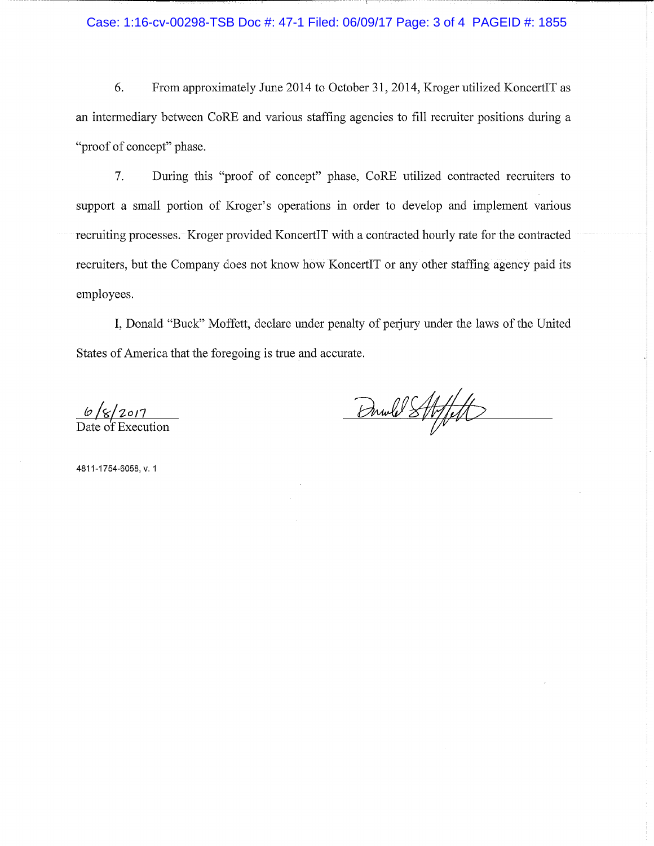Case: 1:16-cv-00298-TSB Doc #: 47-1 Filed: 06/09/17 Page: 3 of 4 PAGEID #: 1855

6. From approximately June 2014 to October 31, 2014, Kroger utilized KoncertIT as an intermediary between CoRE and various staffing agencies to fill recruiter positions during a "proof of concept" phase.

7. During this "proof of concept" phase, CoRE utilized contracted recruiters to support a small portion of Kroger's operations in order to develop and implement various recruiting processes. Kroger provided KoncertIT with a contracted hourly rate for the contracted recruiters, but the Company does not know how KoncertIT or any other staffing agency paid its employees.

I, Donald "Buck" Moffett, declare under penalty of perjury under the laws of the United States of America that the foregoing is true and accurate.

 $\frac{6}{8}$ / $\frac{2017}{20}$ <br>Date of Execution

Drwld Strfft

4811-1754-6058, v. 1